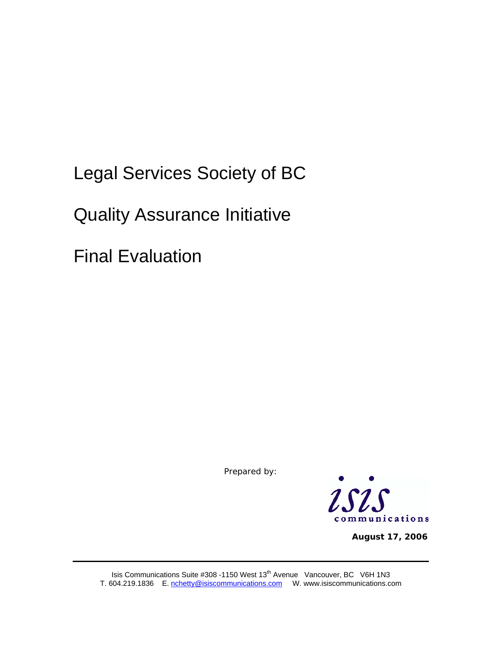Legal Services Society of BC

Quality Assurance Initiative

Final Evaluation

*Prepared by:*



**August 17, 2006**

Isis Communications Suite #308 -1150 West 13<sup>th</sup> Avenue Vancouver, BC V6H 1N3 T. 604.219.1836 E. [nchetty@isiscommunications.com](mailto:nchetty@isiscommunications.com) W. www.isiscommunications.com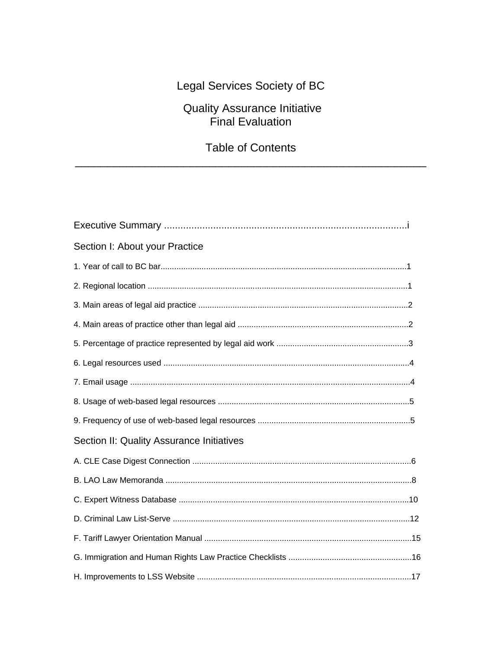# Legal Services Society of BC

# Quality Assurance Initiative<br>Final Evaluation

## **Table of Contents**

| Section I: About your Practice            |
|-------------------------------------------|
|                                           |
|                                           |
|                                           |
|                                           |
|                                           |
|                                           |
|                                           |
|                                           |
|                                           |
| Section II: Quality Assurance Initiatives |
|                                           |
|                                           |
|                                           |
|                                           |
|                                           |
|                                           |
|                                           |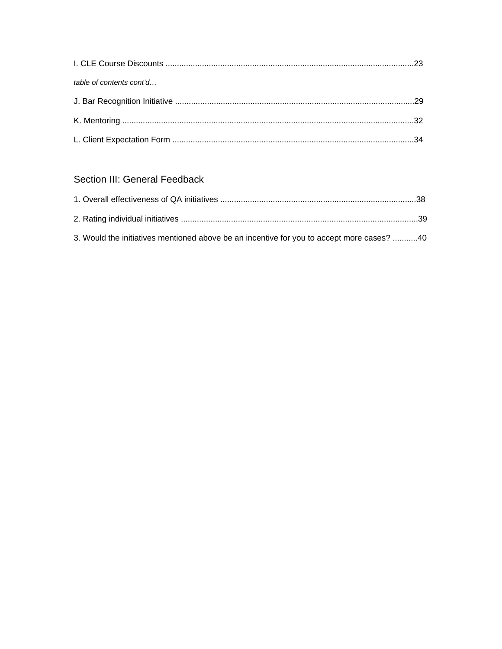| table of contents cont'd |  |
|--------------------------|--|
|                          |  |
|                          |  |
|                          |  |

## Section III: General Feedback

| 3. Would the initiatives mentioned above be an incentive for you to accept more cases? 40 |  |
|-------------------------------------------------------------------------------------------|--|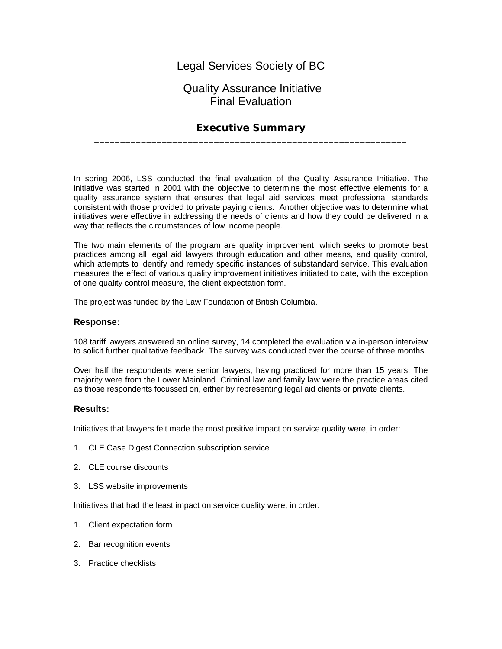## Legal Services Society of BC

## Quality Assurance Initiative Final Evaluation

#### **Executive Summary** \_\_\_\_\_\_\_\_\_\_\_\_\_\_\_\_\_\_\_\_\_\_\_\_\_\_\_\_\_\_\_\_\_\_\_\_\_\_\_\_\_\_\_\_\_\_\_\_\_\_\_\_\_\_\_\_\_\_\_\_

In spring 2006, LSS conducted the final evaluation of the Quality Assurance Initiative. The initiative was started in 2001 with the objective to determine the most effective elements for a quality assurance system that ensures that legal aid services meet professional standards consistent with those provided to private paying clients. Another objective was to determine what initiatives were effective in addressing the needs of clients and how they could be delivered in a way that reflects the circumstances of low income people.

The two main elements of the program are quality improvement, which seeks to promote best practices among all legal aid lawyers through education and other means, and quality control, which attempts to identify and remedy specific instances of substandard service. This evaluation measures the effect of various quality improvement initiatives initiated to date, with the exception of one quality control measure, the client expectation form.

The project was funded by the Law Foundation of British Columbia.

#### **Response:**

108 tariff lawyers answered an online survey, 14 completed the evaluation via in-person interview to solicit further qualitative feedback. The survey was conducted over the course of three months.

Over half the respondents were senior lawyers, having practiced for more than 15 years. The majority were from the Lower Mainland. Criminal law and family law were the practice areas cited as those respondents focussed on, either by representing legal aid clients or private clients.

#### **Results:**

Initiatives that lawyers felt made the most positive impact on service quality were, in order:

- 1. CLE Case Digest Connection subscription service
- 2. CLE course discounts
- 3. LSS website improvements

Initiatives that had the least impact on service quality were, in order:

- 1. Client expectation form
- 2. Bar recognition events
- 3. Practice checklists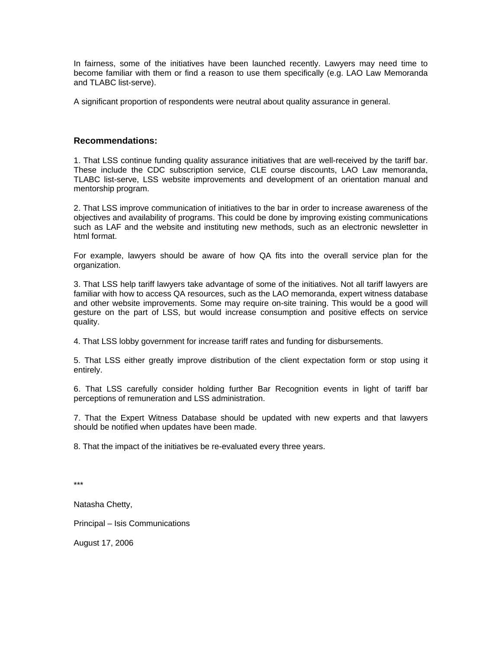In fairness, some of the initiatives have been launched recently. Lawyers may need time to become familiar with them or find a reason to use them specifically (e.g. LAO Law Memoranda and TLABC list-serve).

A significant proportion of respondents were neutral about quality assurance in general.

#### **Recommendations:**

1. That LSS continue funding quality assurance initiatives that are well-received by the tariff bar. These include the CDC subscription service, CLE course discounts, LAO Law memoranda, TLABC list-serve, LSS website improvements and development of an orientation manual and mentorship program.

2. That LSS improve communication of initiatives to the bar in order to increase awareness of the objectives and availability of programs. This could be done by improving existing communications such as LAF and the website and instituting new methods, such as an electronic newsletter in html format.

For example, lawyers should be aware of how QA fits into the overall service plan for the organization.

3. That LSS help tariff lawyers take advantage of some of the initiatives. Not all tariff lawyers are familiar with how to access QA resources, such as the LAO memoranda, expert witness database and other website improvements. Some may require on-site training. This would be a good will gesture on the part of LSS, but would increase consumption and positive effects on service quality.

4. That LSS lobby government for increase tariff rates and funding for disbursements.

5. That LSS either greatly improve distribution of the client expectation form or stop using it entirely.

6. That LSS carefully consider holding further Bar Recognition events in light of tariff bar perceptions of remuneration and LSS administration.

7. That the Expert Witness Database should be updated with new experts and that lawyers should be notified when updates have been made.

8. That the impact of the initiatives be re-evaluated every three years.

\*\*\*

Natasha Chetty,

Principal – Isis Communications

August 17, 2006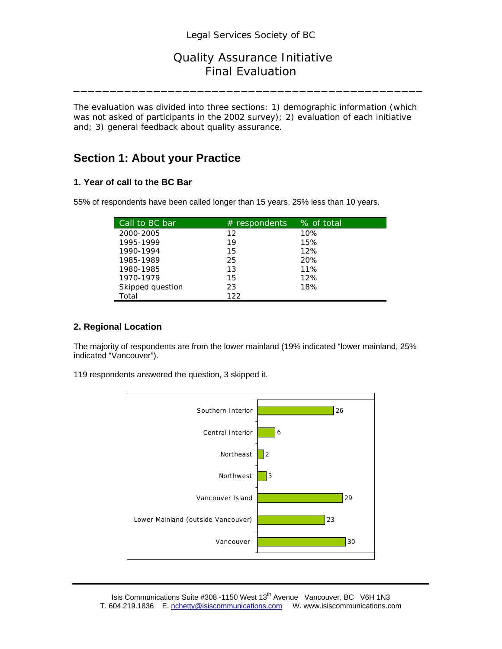## Quality Assurance Initiative Final Evaluation

The evaluation was divided into three sections: 1) demographic information (which was not asked of participants in the 2002 survey); 2) evaluation of each initiative and; 3) general feedback about quality assurance.

\_\_\_\_\_\_\_\_\_\_\_\_\_\_\_\_\_\_\_\_\_\_\_\_\_\_\_\_\_\_\_\_\_\_\_\_\_\_\_\_\_\_\_\_\_\_\_\_

## **Section 1: About your Practice**

#### **1. Year of call to the BC Bar**

| Call to BC bar   | $#$ respondents | % of total |
|------------------|-----------------|------------|
| 2000-2005        | 12              | 10%        |
| 1995-1999        | 19              | 15%        |
| 1990-1994        | 15              | 12%        |
| 1985-1989        | 25              | 20%        |
| 1980-1985        | 13              | 11%        |
| 1970-1979        | 15              | 12%        |
| Skipped question | 23              | 18%        |
| Total            | 122             |            |

55% of respondents have been called longer than 15 years, 25% less than 10 years.

### **2. Regional Location**

The majority of respondents are from the lower mainland (19% indicated "lower mainland, 25% indicated "Vancouver").

119 respondents answered the question, 3 skipped it.

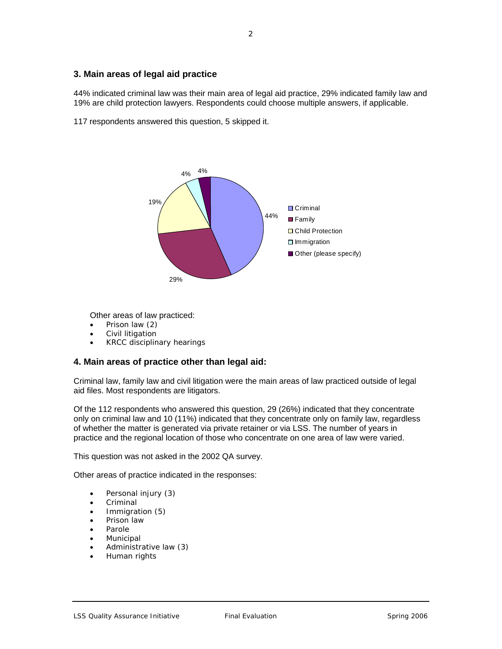#### **3. Main areas of legal aid practice**

44% indicated criminal law was their main area of legal aid practice, 29% indicated family law and 19% are child protection lawyers. Respondents could choose multiple answers, if applicable.

117 respondents answered this question, 5 skipped it.



Other areas of law practiced:

- Prison law (2)
- Civil litigation
- KRCC disciplinary hearings

#### **4. Main areas of practice other than legal aid:**

Criminal law, family law and civil litigation were the main areas of law practiced outside of legal aid files. Most respondents are litigators.

Of the 112 respondents who answered this question, 29 (26%) indicated that they concentrate only on criminal law and 10 (11%) indicated that they concentrate only on family law, regardless of whether the matter is generated via private retainer or via LSS. The number of years in practice and the regional location of those who concentrate on one area of law were varied.

This question was not asked in the 2002 QA survey.

Other areas of practice indicated in the responses:

- Personal injury (3)
- Criminal
- Immigration (5)
- Prison law
- **Parole**
- **Municipal**
- Administrative law (3)
- Human rights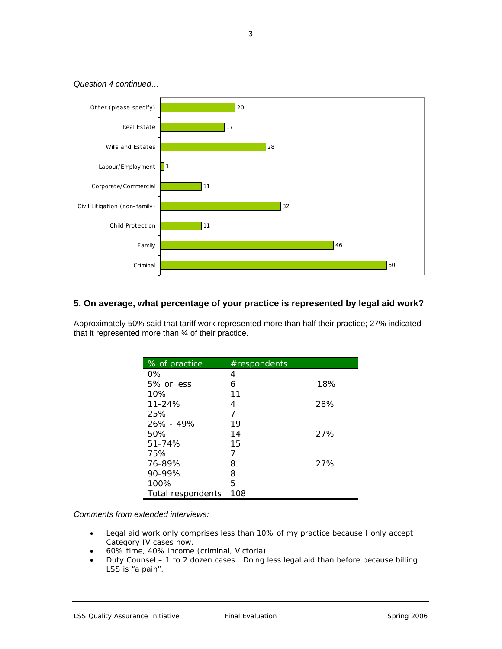



#### **5. On average, what percentage of your practice is represented by legal aid work?**

Approximately 50% said that tariff work represented more than half their practice; 27% indicated that it represented more than ¾ of their practice.

| % of practice     | #respondents |     |
|-------------------|--------------|-----|
| 0%                | 4            |     |
| 5% or less        | 6            | 18% |
| 10%               | 11           |     |
| $11 - 24%$        | 4            | 28% |
| 25%               | 7            |     |
| $26\% - 49\%$     | 19           |     |
| 50%               | 14           | 27% |
| 51-74%            | 15           |     |
| 75%               | 7            |     |
| 76-89%            | 8            | 27% |
| 90-99%            | 8            |     |
| 100%              | 5            |     |
| Total respondents | 108          |     |

*Comments from extended interviews:*

- Legal aid work only comprises less than 10% of my practice because I only accept Category IV cases now.
- 60% time, 40% income (criminal, Victoria)
- Duty Counsel 1 to 2 dozen cases. Doing less legal aid than before because billing LSS is "a pain".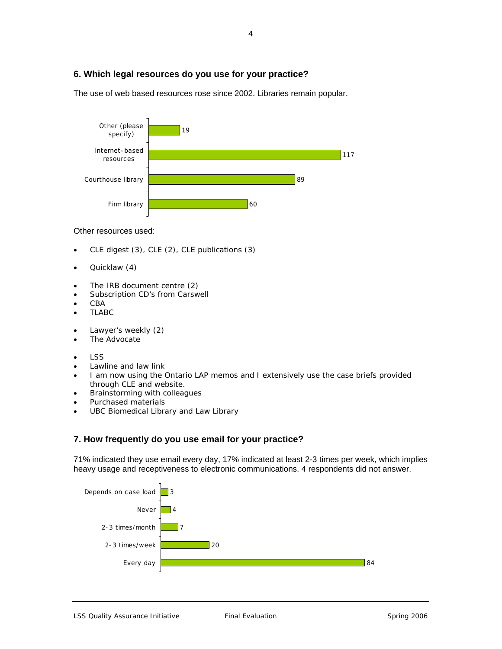## **6. Which legal resources do you use for your practice?**

The use of web based resources rose since 2002. Libraries remain popular.



#### Other resources used:

- CLE digest (3), CLE (2), CLE publications (3)
- Quicklaw (4)
- The IRB document centre (2)
- Subscription CD's from Carswell
- CBA
- TLABC
- Lawyer's weekly (2)
- The Advocate
- LSS
- Lawline and law link
- I am now using the Ontario LAP memos and I extensively use the case briefs provided through CLE and website.
- Brainstorming with colleagues
- Purchased materials
- UBC Biomedical Library and Law Library

#### **7. How frequently do you use email for your practice?**

71% indicated they use email every day, 17% indicated at least 2-3 times per week, which implies heavy usage and receptiveness to electronic communications. 4 respondents did not answer.

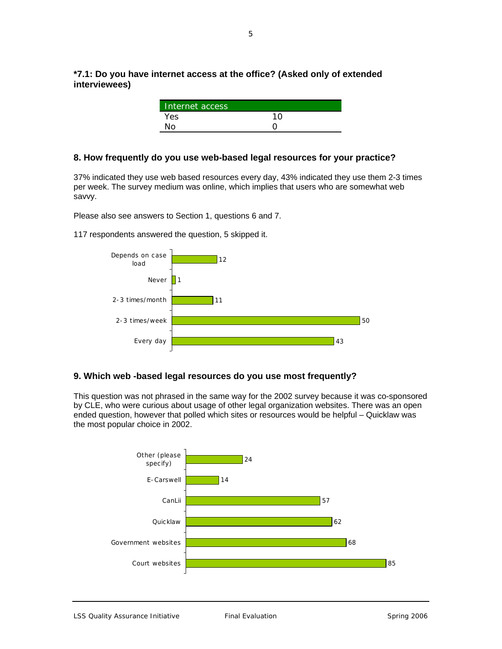**\*7.1: Do you have internet access at the office? (Asked only of extended interviewees)**

| Internet access |    |  |
|-----------------|----|--|
| Yes.            | 10 |  |
| N∩              |    |  |

#### **8. How frequently do you use web-based legal resources for your practice?**

37% indicated they use web based resources every day, 43% indicated they use them 2-3 times per week. The survey medium was online, which implies that users who are somewhat web savvy.

Please also see answers to Section 1, questions 6 and 7.

117 respondents answered the question, 5 skipped it.



#### **9. Which web -based legal resources do you use most frequently?**

This question was not phrased in the same way for the 2002 survey because it was co-sponsored by CLE, who were curious about usage of other legal organization websites. There was an open ended question, however that polled which sites or resources would be helpful – Quicklaw was the most popular choice in 2002.

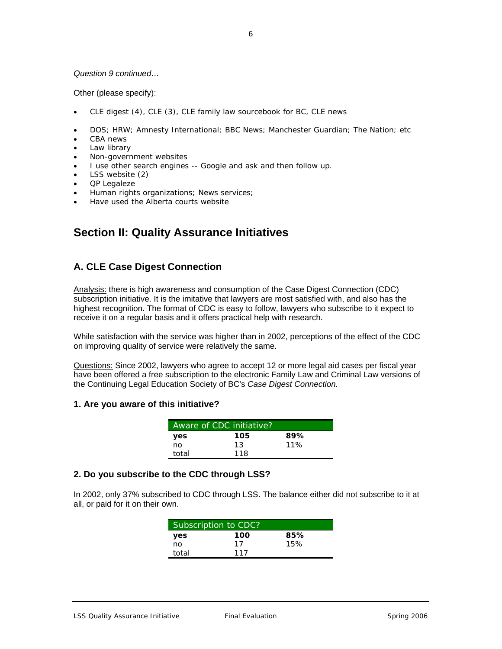#### *Question 9 continued…*

Other (please specify):

- CLE digest (4), CLE (3), CLE family law sourcebook for BC, CLE news
- DOS; HRW; Amnesty International; BBC News; Manchester Guardian; The Nation; etc
- CBA news
- Law library
- Non-government websites
- I use other search engines -- Google and ask and then follow up.
- LSS website (2)
- QP Legaleze
- Human rights organizations; News services;
- Have used the Alberta courts website

## **Section II: Quality Assurance Initiatives**

## **A. CLE Case Digest Connection**

Analysis: there is high awareness and consumption of the Case Digest Connection (CDC) subscription initiative. It is the imitative that lawyers are most satisfied with, and also has the highest recognition. The format of CDC is easy to follow, lawyers who subscribe to it expect to receive it on a regular basis and it offers practical help with research.

While satisfaction with the service was higher than in 2002, perceptions of the effect of the CDC on improving quality of service were relatively the same.

Questions: Since 2002, lawyers who agree to accept 12 or more legal aid cases per fiscal year have been offered a free subscription to the electronic Family Law and Criminal Law versions of the Continuing Legal Education Society of BC's *Case Digest Connection.* 

#### **1. Are you aware of this initiative?**

| Aware of CDC initiative? |     |     |  |
|--------------------------|-----|-----|--|
| yes                      | 105 | 89% |  |
| no                       | 13  | 11% |  |
| total                    | 118 |     |  |

#### **2. Do you subscribe to the CDC through LSS?**

In 2002, only 37% subscribed to CDC through LSS. The balance either did not subscribe to it at all, or paid for it on their own.

|       | Subscription to CDC? |     |  |
|-------|----------------------|-----|--|
| yes   | 100                  | 85% |  |
| no    | 17                   | 15% |  |
| total | 117                  |     |  |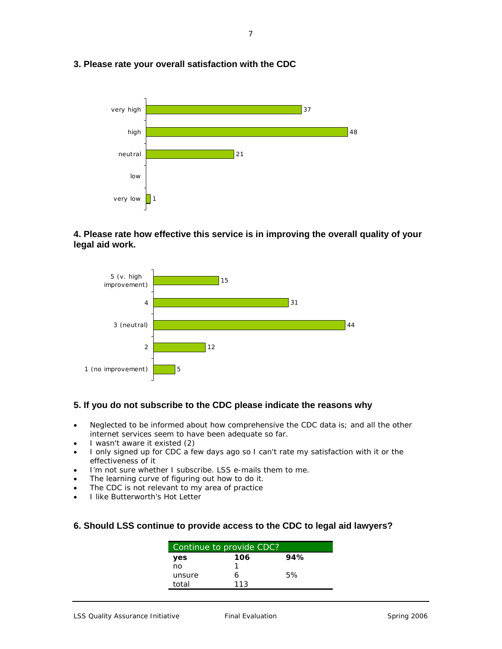#### **3. Please rate your overall satisfaction with the CDC**



#### **4. Please rate how effective this service is in improving the overall quality of your legal aid work.**



#### **5. If you do not subscribe to the CDC please indicate the reasons why**

- Neglected to be informed about how comprehensive the CDC data is; and all the other internet services seem to have been adequate so far.
- I wasn't aware it existed (2)
- I only signed up for CDC a few days ago so I can't rate my satisfaction with it or the effectiveness of it
- I'm not sure whether I subscribe. LSS e-mails them to me.
- The learning curve of figuring out how to do it.
- The CDC is not relevant to my area of practice
- I like Butterworth's *Hot Letter*

#### **6. Should LSS continue to provide access to the CDC to legal aid lawyers?**

| Continue to provide CDC? |     |     |
|--------------------------|-----|-----|
| yes                      | 106 | 94% |
| no                       |     |     |
| unsure                   | h   | 5%  |
| total                    | 113 |     |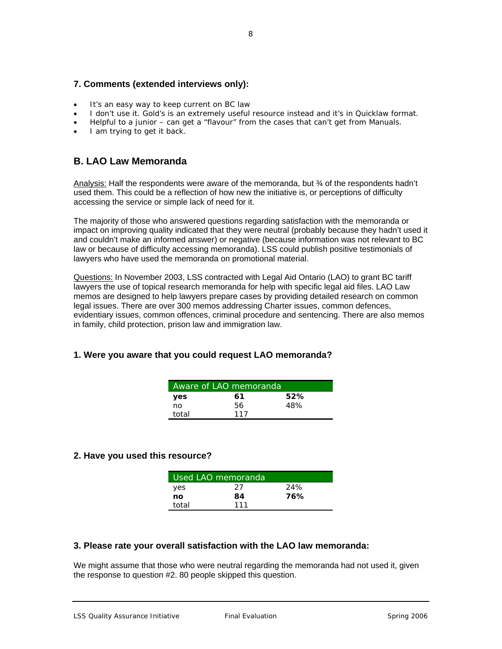#### **7. Comments (extended interviews only):**

- It's an easy way to keep current on BC law
- I don't use it. Gold's is an extremely useful resource instead and it's in Quicklaw format.
- Helpful to a junior can get a "flavour" from the cases that can't get from Manuals.
- I am trying to get it back.

## **B. LAO Law Memoranda**

Analysis: Half the respondents were aware of the memoranda, but ¾ of the respondents hadn't used them. This could be a reflection of how new the initiative is, or perceptions of difficulty accessing the service or simple lack of need for it.

The majority of those who answered questions regarding satisfaction with the memoranda or impact on improving quality indicated that they were neutral (probably because they hadn't used it and couldn't make an informed answer) or negative (because information was not relevant to BC law or because of difficulty accessing memoranda). LSS could publish positive testimonials of lawyers who have used the memoranda on promotional material.

Questions: In November 2003, LSS contracted with Legal Aid Ontario (LAO) to grant BC tariff lawyers the use of topical research memoranda for help with specific legal aid files. LAO Law memos are designed to help lawyers prepare cases by providing detailed research on common legal issues. There are over 300 memos addressing Charter issues, common defences, evidentiary issues, common offences, criminal procedure and sentencing. There are also memos in family, child protection, prison law and immigration law.

#### **1. Were you aware that you could request LAO memoranda?**

| Aware of LAO memoranda |     |     |
|------------------------|-----|-----|
| yes                    | 61  | 52% |
| no                     | 56  | 48% |
| total                  | 117 |     |

#### **2. Have you used this resource?**

| Used LAO memoranda |     |     |
|--------------------|-----|-----|
|                    | 27  | 24% |
| yes                |     |     |
| no                 | 84  | 76% |
| total              | 111 |     |

#### **3. Please rate your overall satisfaction with the LAO law memoranda:**

We might assume that those who were neutral regarding the memoranda had not used it, given the response to question #2. 80 people skipped this question.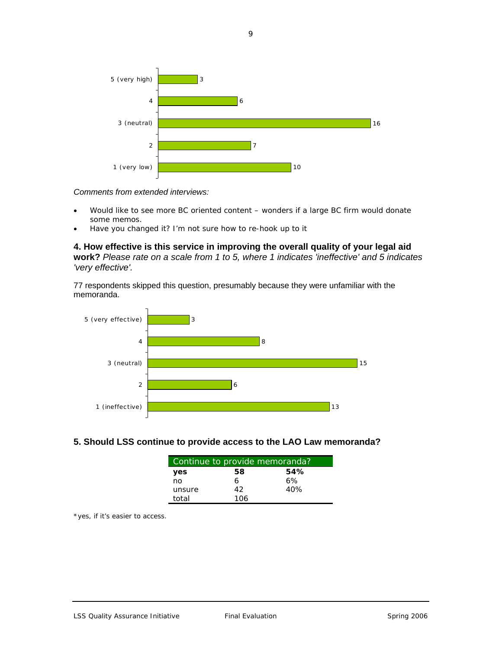

*Comments from extended interviews:*

- Would like to see more BC oriented content wonders if a large BC firm would donate some memos.
- Have you changed it? I'm not sure how to re-hook up to it

**4. How effective is this service in improving the overall quality of your legal aid work?** *Please rate on a scale from 1 to 5, where 1 indicates 'ineffective' and 5 indicates 'very effective'.*

77 respondents skipped this question, presumably because they were unfamiliar with the memoranda.



#### **5. Should LSS continue to provide access to the LAO Law memoranda?**

| Continue to provide memoranda? |     |     |
|--------------------------------|-----|-----|
| yes                            | 58  | 54% |
| no                             | 6   | 6%  |
| unsure                         | 42  | 40% |
| total                          | 106 |     |

\*yes, if it's easier to access.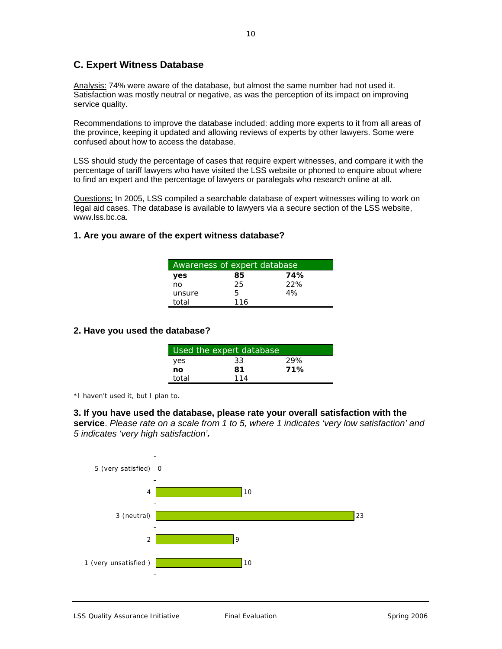## **C. Expert Witness Database**

Analysis: 74% were aware of the database, but almost the same number had not used it. Satisfaction was mostly neutral or negative, as was the perception of its impact on improving service quality.

Recommendations to improve the database included: adding more experts to it from all areas of the province, keeping it updated and allowing reviews of experts by other lawyers. Some were confused about how to access the database.

LSS should study the percentage of cases that require expert witnesses, and compare it with the percentage of tariff lawyers who have visited the LSS website or phoned to enquire about where to find an expert and the percentage of lawyers or paralegals who research online at all.

Questions: In 2005, LSS compiled a searchable database of expert witnesses willing to work on legal aid cases. The database is available to lawyers via a secure section of the LSS website, www.lss.bc.ca.

#### **1. Are you aware of the expert witness database?**

| Awareness of expert database |     |     |  |
|------------------------------|-----|-----|--|
| yes                          | 85  | 74% |  |
| no                           | 25  | 22% |  |
| unsure                       | Б.  | 4%  |  |
| total                        | 116 |     |  |

#### **2. Have you used the database?**

| Used the expert database |     |     |
|--------------------------|-----|-----|
| yes                      | 33  | 29% |
| no                       | 81  | 71% |
| total                    | 114 |     |

\*I haven't used it, but I plan to.

#### **3. If you have used the database, please rate your overall satisfaction with the service**. *Please rate on a scale from 1 to 5, where 1 indicates 'very low satisfaction' and 5 indicates 'very high satisfaction'.*

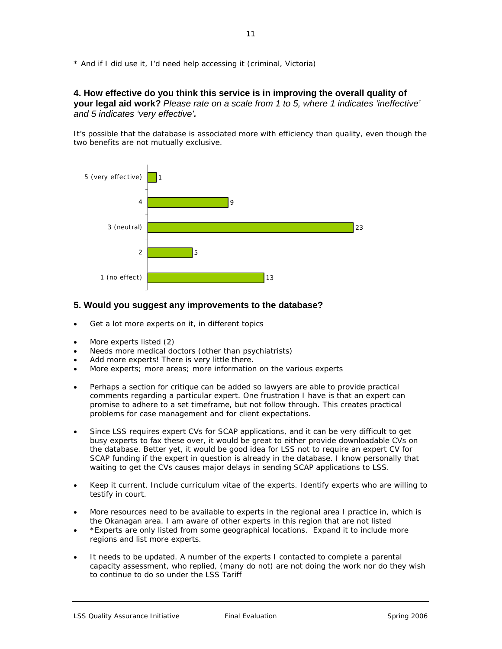\* And if I did use it, I'd need help accessing it (criminal, Victoria)

#### **4. How effective do you think this service is in improving the overall quality of your legal aid work?** *Please rate on a scale from 1 to 5, where 1 indicates 'ineffective' and 5 indicates 'very effective'.*

It's possible that the database is associated more with efficiency than quality, even though the two benefits are not mutually exclusive.



#### **5. Would you suggest any improvements to the database?**

- Get a lot more experts on it, in different topics
- More experts listed (2)
- Needs more medical doctors (other than psychiatrists)
- Add more experts! There is very little there.
- More experts; more areas; more information on the various experts
- Perhaps a section for critique can be added so lawyers are able to provide practical comments regarding a particular expert. One frustration I have is that an expert can promise to adhere to a set timeframe, but not follow through. This creates practical problems for case management and for client expectations.
- Since LSS requires expert CVs for SCAP applications, and it can be very difficult to get busy experts to fax these over, it would be great to either provide downloadable CVs on the database. Better yet, it would be good idea for LSS not to require an expert CV for SCAP funding if the expert in question is already in the database. I know personally that waiting to get the CVs causes major delays in sending SCAP applications to LSS.
- Keep it current. Include curriculum vitae of the experts. Identify experts who are willing to testify in court.
- More resources need to be available to experts in the regional area I practice in, which is the Okanagan area. I am aware of other experts in this region that are not listed
- \*Experts are only listed from some geographical locations. Expand it to include more regions and list more experts.
- It needs to be updated. A number of the experts I contacted to complete a parental capacity assessment, who replied, (many do not) are not doing the work nor do they wish to continue to do so under the LSS Tariff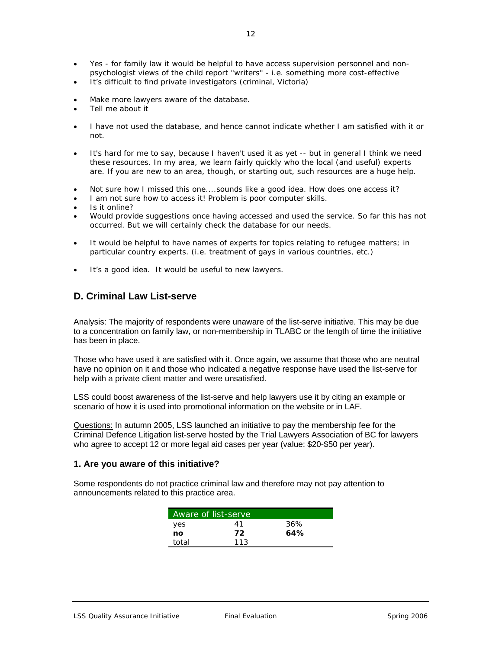- Yes for family law it would be helpful to have access supervision personnel and nonpsychologist views of the child report "writers" - i.e. something more cost-effective
- It's difficult to find private investigators (criminal, Victoria)
- Make more lawyers aware of the database.
- Tell me about it
- I have not used the database, and hence cannot indicate whether I am satisfied with it or not.
- It's hard for me to say, because I haven't used it as yet -- but in general I think we need these resources. In my area, we learn fairly quickly who the local (and useful) experts are. If you are new to an area, though, or starting out, such resources are a huge help.
- Not sure how I missed this one....sounds like a good idea. How does one access it?
- I am not sure how to access it! Problem is poor computer skills.
- Is it online?
- Would provide suggestions once having accessed and used the service. So far this has not occurred. But we will certainly check the database for our needs.
- It would be helpful to have names of experts for topics relating to refugee matters; in particular country experts. (i.e. treatment of gays in various countries, etc.)
- It's a good idea. It would be useful to new lawyers.

## **D. Criminal Law List-serve**

Analysis: The majority of respondents were unaware of the list-serve initiative. This may be due to a concentration on family law, or non-membership in TLABC or the length of time the initiative has been in place.

Those who have used it are satisfied with it. Once again, we assume that those who are neutral have no opinion on it and those who indicated a negative response have used the list-serve for help with a private client matter and were unsatisfied.

LSS could boost awareness of the list-serve and help lawyers use it by citing an example or scenario of how it is used into promotional information on the website or in LAF.

Questions: In autumn 2005, LSS launched an initiative to pay the membership fee for the Criminal Defence Litigation list-serve hosted by the Trial Lawyers Association of BC for lawyers who agree to accept 12 or more legal aid cases per year (value: \$20-\$50 per year).

#### **1. Are you aware of this initiative?**

Some respondents do not practice criminal law and therefore may not pay attention to announcements related to this practice area.

| <b>Aware of list-serve</b> |     |     |
|----------------------------|-----|-----|
| yes                        | 41  | 36% |
| no                         | 72  | 64% |
| total                      | 113 |     |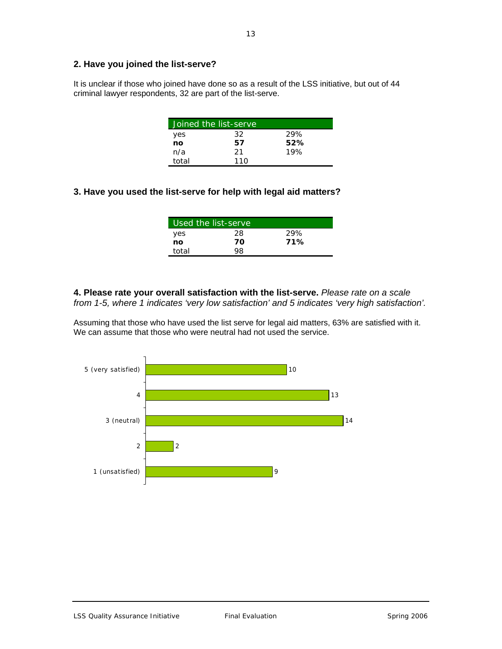#### **2. Have you joined the list-serve?**

It is unclear if those who joined have done so as a result of the LSS initiative, but out of 44 criminal lawyer respondents, 32 are part of the list-serve.

|       | Joined the list-serve |     |
|-------|-----------------------|-----|
| yes   | 32.                   | 29% |
| no    | 57                    | 52% |
| n/a   | 21                    | 19% |
| total | 110                   |     |

#### **3. Have you used the list-serve for help with legal aid matters?**

|       | Used the list-serve |     |
|-------|---------------------|-----|
| yes   | 28                  | 29% |
| no    | 70                  | 71% |
| total | 98                  |     |

**4. Please rate your overall satisfaction with the list-serve.** *Please rate on a scale from 1-5, where 1 indicates 'very low satisfaction' and 5 indicates 'very high satisfaction'.*

Assuming that those who have used the list serve for legal aid matters, 63% are satisfied with it. We can assume that those who were neutral had not used the service.

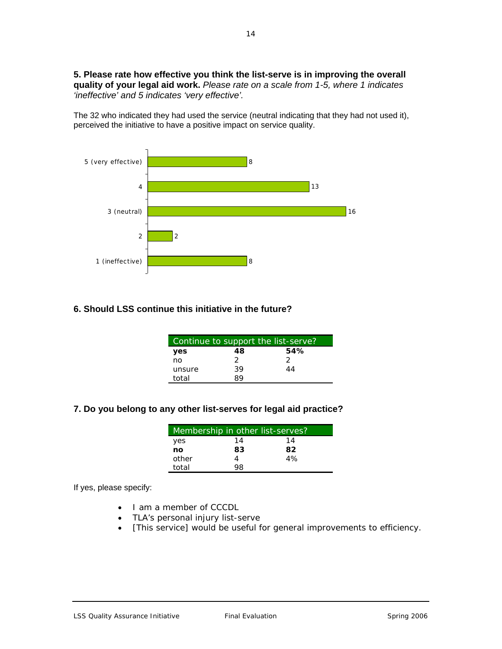**5. Please rate how effective you think the list-serve is in improving the overall quality of your legal aid work.** *Please rate on a scale from 1-5, where 1 indicates 'ineffective' and 5 indicates 'very effective'.*

The 32 who indicated they had used the service (neutral indicating that they had not used it), perceived the initiative to have a positive impact on service quality.



#### **6. Should LSS continue this initiative in the future?**

| Continue to support the list-serve? |    |     |  |
|-------------------------------------|----|-----|--|
| yes                                 | 48 | 54% |  |
| no                                  |    | 2   |  |
| unsure                              | 39 | 44  |  |
| total                               |    |     |  |

#### **7. Do you belong to any other list-serves for legal aid practice?**

| Membership in other list-serves? |     |    |  |
|----------------------------------|-----|----|--|
| yes                              | 14  | 14 |  |
| no                               | 83  | 82 |  |
| other                            |     | 4% |  |
| total                            | 78. |    |  |

If yes, please specify:

- I am a member of CCCDL
- TLA's personal injury list-serve
- [This service] would be useful for general improvements to efficiency.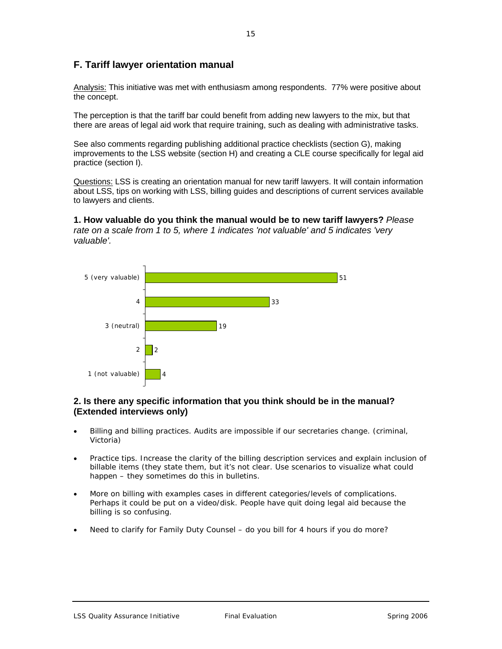## **F. Tariff lawyer orientation manual**

Analysis: This initiative was met with enthusiasm among respondents. 77% were positive about the concept.

The perception is that the tariff bar could benefit from adding new lawyers to the mix, but that there are areas of legal aid work that require training, such as dealing with administrative tasks.

See also comments regarding publishing additional practice checklists (section G), making improvements to the LSS website (section H) and creating a CLE course specifically for legal aid practice (section I).

Questions: LSS is creating an orientation manual for new tariff lawyers. It will contain information about LSS, tips on working with LSS, billing guides and descriptions of current services available to lawyers and clients.

## **1. How valuable do you think the manual would be to new tariff lawyers?** *Please*

*rate on a scale from 1 to 5, where 1 indicates 'not valuable' and 5 indicates 'very valuable'.*



#### **2. Is there any specific information that you think should be in the manual? (Extended interviews only)**

- Billing and billing practices. Audits are impossible if our secretaries change. (criminal, Victoria)
- Practice tips. Increase the clarity of the billing description services and explain inclusion of billable items (they state them, but it's not clear. Use scenarios to visualize what could happen – they sometimes do this in bulletins.
- More on billing with examples cases in different categories/levels of complications. Perhaps it could be put on a video/disk. People have quit doing legal aid because the billing is so confusing.
- Need to clarify for Family Duty Counsel do you bill for 4 hours if you do more?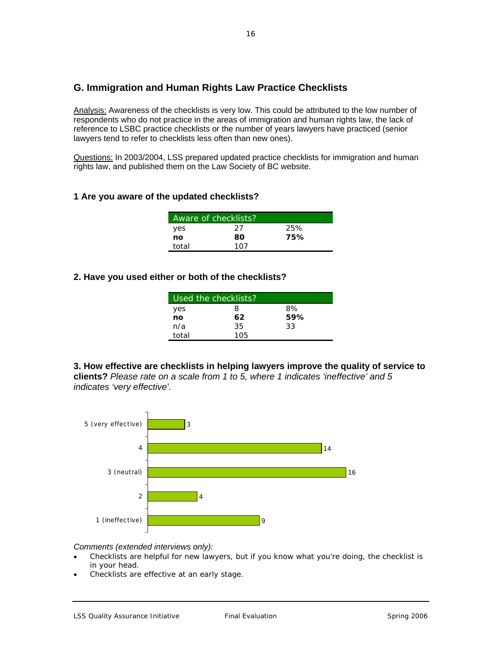## **G. Immigration and Human Rights Law Practice Checklists**

Analysis: Awareness of the checklists is very low. This could be attributed to the low number of respondents who do not practice in the areas of immigration and human rights law, the lack of reference to LSBC practice checklists or the number of years lawyers have practiced (senior lawyers tend to refer to checklists less often than new ones).

Questions: In 2003/2004, LSS prepared updated practice checklists for immigration and human rights law, and published them on the Law Society of BC website.

#### **1 Are you aware of the updated checklists?**

|       | Aware of checklists? |     |
|-------|----------------------|-----|
| yes   | 27                   | 25% |
| no    | 80                   | 75% |
| total | 107                  |     |

#### **2. Have you used either or both of the checklists?**

|       | Used the checklists? |     |  |
|-------|----------------------|-----|--|
| yes   | 8                    | 8%  |  |
| no    | 62                   | 59% |  |
| n/a   | 35                   | 33  |  |
| total | 105                  |     |  |

**3. How effective are checklists in helping lawyers improve the quality of service to clients?** *Please rate on a scale from 1 to 5, where 1 indicates 'ineffective' and 5 indicates 'very effective'.*



#### *Comments (extended interviews only):*

- Checklists are helpful for new lawyers, but if you know what you're doing, the checklist is in your head.
- Checklists are effective at an early stage.

16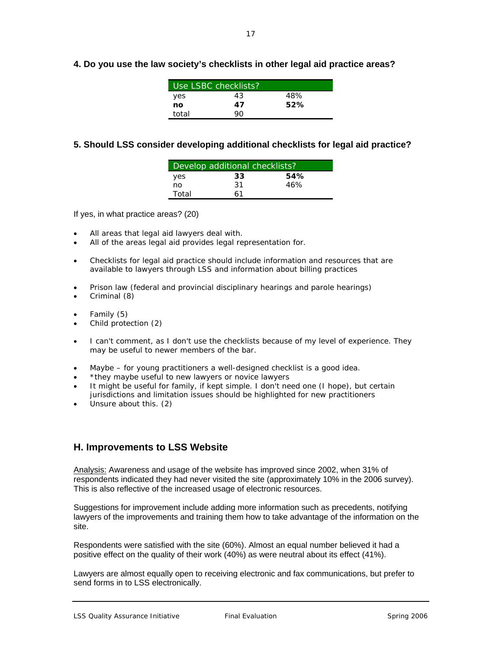**4. Do you use the law society's checklists in other legal aid practice areas?**

|       | Use LSBC checklists? |     |
|-------|----------------------|-----|
| yes   | 43                   | 48% |
| no    | 47                   | 52% |
| total |                      |     |

#### **5. Should LSS consider developing additional checklists for legal aid practice?**

| Develop additional checklists? |    |     |  |
|--------------------------------|----|-----|--|
| yes                            | 33 | 54% |  |
| no                             | 31 | 46% |  |
| Total                          | 61 |     |  |

If yes, in what practice areas? (20)

- All areas that legal aid lawyers deal with.
- All of the areas legal aid provides legal representation for.
- Checklists for legal aid practice should include information and resources that are available to lawyers through LSS and information about billing practices
- Prison law (federal and provincial disciplinary hearings and parole hearings)
- Criminal (8)
- Family (5)
- Child protection (2)
- I can't comment, as I don't use the checklists because of my level of experience. They may be useful to newer members of the bar.
- Maybe for young practitioners a well-designed checklist is a good idea.
- \*they maybe useful to new lawyers or novice lawyers
- It might be useful for family, if kept simple. I don't need one (I hope), but certain jurisdictions and limitation issues should be highlighted for new practitioners
- Unsure about this. (2)

#### **H. Improvements to LSS Website**

Analysis: Awareness and usage of the website has improved since 2002, when 31% of respondents indicated they had never visited the site (approximately 10% in the 2006 survey). This is also reflective of the increased usage of electronic resources.

Suggestions for improvement include adding more information such as precedents, notifying lawyers of the improvements and training them how to take advantage of the information on the site.

Respondents were satisfied with the site (60%). Almost an equal number believed it had a positive effect on the quality of their work (40%) as were neutral about its effect (41%).

Lawyers are almost equally open to receiving electronic and fax communications, but prefer to send forms in to LSS electronically.

LSS Quality Assurance Initiative Final Evaluation Controller Spring 2006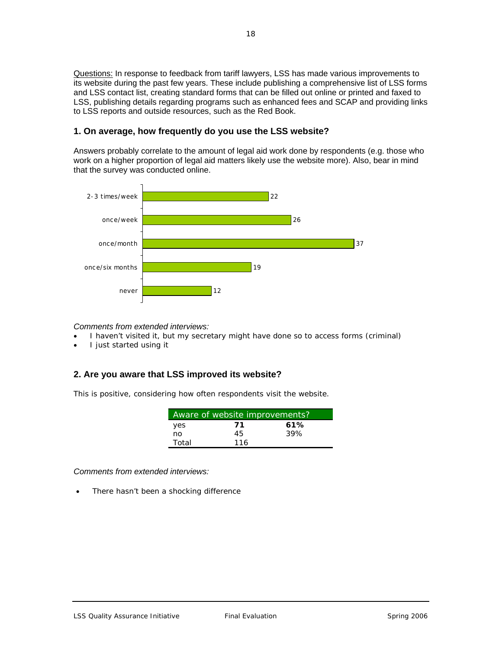Questions: In response to feedback from tariff lawyers, LSS has made various improvements to its website during the past few years. These include publishing a comprehensive list of LSS forms and LSS contact list, creating standard forms that can be filled out online or printed and faxed to LSS, publishing details regarding programs such as enhanced fees and SCAP and providing links to LSS reports and outside resources, such as the Red Book.

#### **1. On average, how frequently do you use the LSS website?**

Answers probably correlate to the amount of legal aid work done by respondents (e.g. those who work on a higher proportion of legal aid matters likely use the website more). Also, bear in mind that the survey was conducted online.



#### *Comments from extended interviews:*

- I haven't visited it, but my secretary might have done so to access forms (criminal)
- I just started using it

## **2. Are you aware that LSS improved its website?**

This is positive, considering how often respondents visit the website.

| Aware of website improvements? |     |     |  |
|--------------------------------|-----|-----|--|
| yes                            | 71  | 61% |  |
| no                             | 45  | 39% |  |
| Total                          | 116 |     |  |

*Comments from extended interviews:*

There hasn't been a shocking difference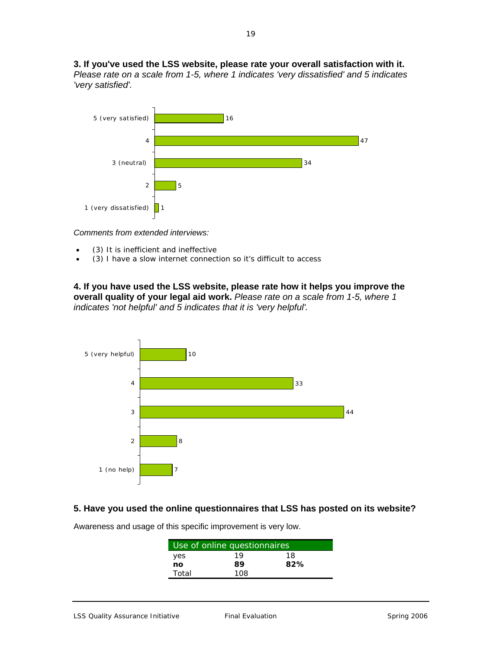**3. If you've used the LSS website, please rate your overall satisfaction with it.** *Please rate on a scale from 1-5, where 1 indicates 'very dissatisfied' and 5 indicates 'very satisfied'.*



*Comments from extended interviews:*

- (3) It is inefficient and ineffective
- (3) I have a slow internet connection so it's difficult to access

**4. If you have used the LSS website, please rate how it helps you improve the overall quality of your legal aid work.** *Please rate on a scale from 1-5, where 1 indicates 'not helpful' and 5 indicates that it is 'very helpful'.*



#### **5. Have you used the online questionnaires that LSS has posted on its website?**

Use of online questionnaires yes 19 18 **no 89 82%** Total 108

Awareness and usage of this specific improvement is very low.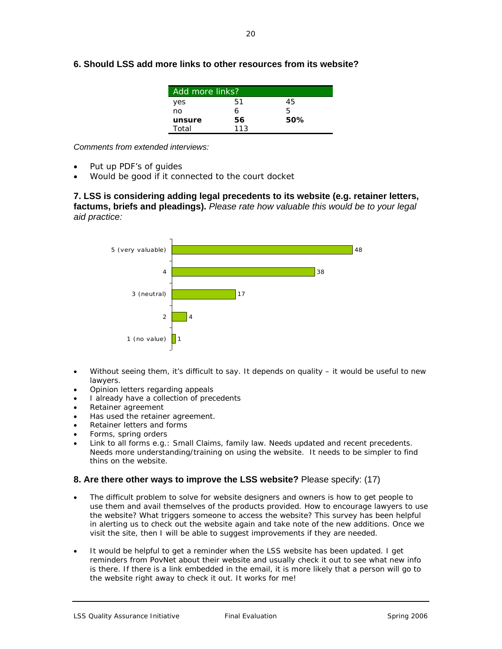| Add more links? |     |     |
|-----------------|-----|-----|
| yes             | 51  | 45  |
| no              | n   | 5   |
| unsure          | 56  | 50% |
| Total           | 113 |     |

**6. Should LSS add more links to other resources from its website?**

*Comments from extended interviews:*

- Put up PDF's of quides
- Would be good if it connected to the court docket

**7. LSS is considering adding legal precedents to its website (e.g. retainer letters, factums, briefs and pleadings).** *Please rate how valuable this would be to your legal aid practice:*



- Without seeing them, it's difficult to say. It depends on quality it would be useful to new lawyers.
- Opinion letters regarding appeals
- I already have a collection of precedents
- Retainer agreement
- Has used the retainer agreement.
- Retainer letters and forms
- Forms, spring orders
- Link to all forms e.g.: Small Claims, family law. Needs updated and recent precedents. Needs more understanding/training on using the website. It needs to be simpler to find thins on the website.

#### **8. Are there other ways to improve the LSS website?** Please specify: (17)

- The difficult problem to solve for website designers and owners is how to get people to use them and avail themselves of the products provided. How to encourage lawyers to use the website? What triggers someone to access the website? This survey has been helpful in alerting us to check out the website again and take note of the new additions. Once we visit the site, then I will be able to suggest improvements if they are needed.
- It would be helpful to get a reminder when the LSS website has been updated. I get reminders from PovNet about their website and usually check it out to see what new info is there. If there is a link embedded in the email, it is more likely that a person will go to the website right away to check it out. It works for me!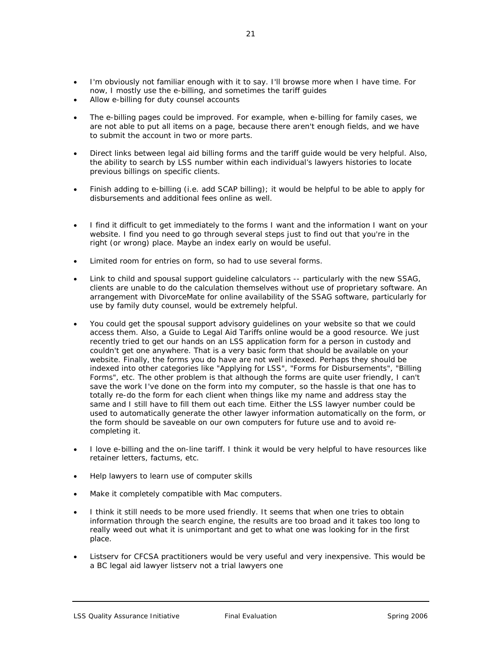- I'm obviously not familiar enough with it to say. I'll browse more when I have time. For now, I mostly use the e-billing, and sometimes the tariff guides
- Allow e-billing for duty counsel accounts
- The e-billing pages could be improved. For example, when e-billing for family cases, we are not able to put all items on a page, because there aren't enough fields, and we have to submit the account in two or more parts.
- Direct links between legal aid billing forms and the tariff guide would be very helpful. Also, the ability to search by LSS number within each individual's lawyers histories to locate previous billings on specific clients.
- Finish adding to e-billing (i.e. add SCAP billing); it would be helpful to be able to apply for disbursements and additional fees online as well.
- I find it difficult to get immediately to the forms I want and the information I want on your website. I find you need to go through several steps just to find out that you're in the right (or wrong) place. Maybe an index early on would be useful.
- Limited room for entries on form, so had to use several forms.
- Link to child and spousal support guideline calculators -- particularly with the new SSAG, clients are unable to do the calculation themselves without use of proprietary software. An arrangement with DivorceMate for online availability of the SSAG software, particularly for use by family duty counsel, would be extremely helpful.
- You could get the spousal support advisory guidelines on your website so that we could access them. Also, a Guide to Legal Aid Tariffs online would be a good resource. We just recently tried to get our hands on an LSS application form for a person in custody and couldn't get one anywhere. That is a very basic form that should be available on your website. Finally, the forms you do have are not well indexed. Perhaps they should be indexed into other categories like "Applying for LSS", "Forms for Disbursements", "Billing Forms", etc. The other problem is that although the forms are quite user friendly, I can't save the work I've done on the form into my computer, so the hassle is that one has to totally re-do the form for each client when things like my name and address stay the same and I still have to fill them out each time. Either the LSS lawyer number could be used to automatically generate the other lawyer information automatically on the form, or the form should be saveable on our own computers for future use and to avoid recompleting it.
- I love e-billing and the on-line tariff. I think it would be very helpful to have resources like retainer letters, factums, etc.
- Help lawyers to learn use of computer skills
- Make it completely compatible with Mac computers.
- I think it still needs to be more used friendly. It seems that when one tries to obtain information through the search engine, the results are too broad and it takes too long to really weed out what it is unimportant and get to what one was looking for in the first place.
- Listserv for CFCSA practitioners would be very useful and very inexpensive. This would be a BC legal aid lawyer listserv not a trial lawyers one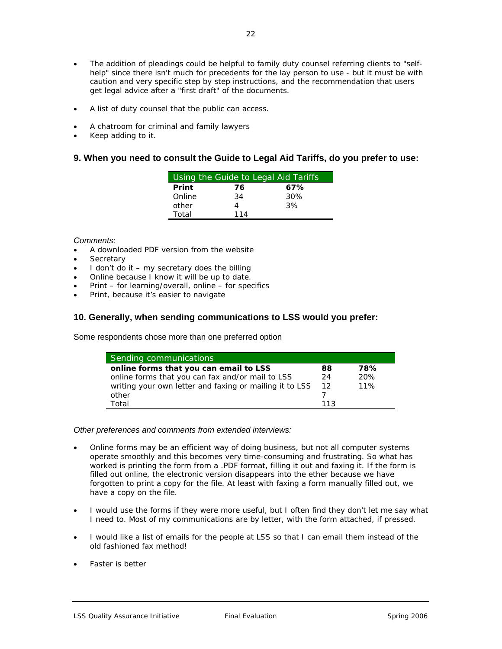- The addition of pleadings could be helpful to family duty counsel referring clients to "selfhelp" since there isn't much for precedents for the lay person to use - but it must be with caution and very specific step by step instructions, and the recommendation that users get legal advice after a "first draft" of the documents.
- A list of duty counsel that the public can access.
- A chatroom for criminal and family lawyers
- Keep adding to it.

#### **9. When you need to consult the Guide to Legal Aid Tariffs, do you prefer to use:**

|        |     | Using the Guide to Legal Aid Tariffs |
|--------|-----|--------------------------------------|
| Print  | 76  | 67%                                  |
| Online | 34  | 30%                                  |
| other  | 4   | 3%                                   |
| Total  | 114 |                                      |

*Comments:*

- A downloaded PDF version from the website
- **Secretary**
- $\bullet$  I don't do it my secretary does the billing
- Online because I know it will be up to date.
- Print for learning/overall, online for specifics
- Print, because it's easier to navigate

#### **10. Generally, when sending communications to LSS would you prefer:**

Some respondents chose more than one preferred option

| Sending communications                                  |     |     |
|---------------------------------------------------------|-----|-----|
| online forms that you can email to LSS                  | 88  | 78% |
| online forms that you can fax and/or mail to LSS        | 24  | 20% |
| writing your own letter and faxing or mailing it to LSS | 12  | 11% |
| other                                                   |     |     |
| Total                                                   | 113 |     |

*Other preferences and comments from extended interviews:*

- Online forms may be an efficient way of doing business, but not all computer systems operate smoothly and this becomes very time-consuming and frustrating. So what has worked is printing the form from a .PDF format, filling it out and faxing it. If the form is filled out online, the electronic version disappears into the ether because we have forgotten to print a copy for the file. At least with faxing a form manually filled out, we have a copy on the file.
- I would use the forms if they were more useful, but I often find they don't let me say what I need to. Most of my communications are by letter, with the form attached, if pressed.
- I would like a list of emails for the people at LSS so that I can email them instead of the old fashioned fax method!
- Faster is better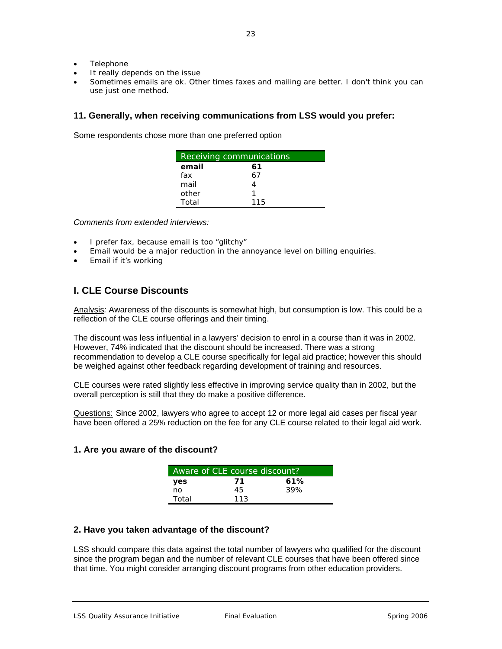- Telephone
- It really depends on the issue
- Sometimes emails are ok. Other times faxes and mailing are better. I don't think you can use just one method.

#### **11. Generally, when receiving communications from LSS would you prefer:**

Some respondents chose more than one preferred option

| Receiving communications |     |  |  |
|--------------------------|-----|--|--|
| email                    | 61  |  |  |
| fax                      | 67  |  |  |
| mail                     |     |  |  |
| other                    |     |  |  |
| Total                    | 115 |  |  |

*Comments from extended interviews:*

- I prefer fax, because email is too "glitchy"
- Email would be a major reduction in the annoyance level on billing enquiries.
- Email if it's working

## **I. CLE Course Discounts**

Analysis*:* Awareness of the discounts is somewhat high, but consumption is low. This could be a reflection of the CLE course offerings and their timing.

The discount was less influential in a lawyers' decision to enrol in a course than it was in 2002. However, 74% indicated that the discount should be increased. There was a strong recommendation to develop a CLE course specifically for legal aid practice; however this should be weighed against other feedback regarding development of training and resources.

CLE courses were rated slightly less effective in improving service quality than in 2002, but the overall perception is still that they do make a positive difference.

Questions: Since 2002, lawyers who agree to accept 12 or more legal aid cases per fiscal year have been offered a 25% reduction on the fee for any CLE course related to their legal aid work.

#### **1. Are you aware of the discount?**

| Aware of CLE course discount? |     |     |  |
|-------------------------------|-----|-----|--|
| yes                           | 71  | 61% |  |
| no                            | 45  | 39% |  |
| Total                         | 113 |     |  |

#### **2. Have you taken advantage of the discount?**

LSS should compare this data against the total number of lawyers who qualified for the discount since the program began and the number of relevant CLE courses that have been offered since that time. You might consider arranging discount programs from other education providers.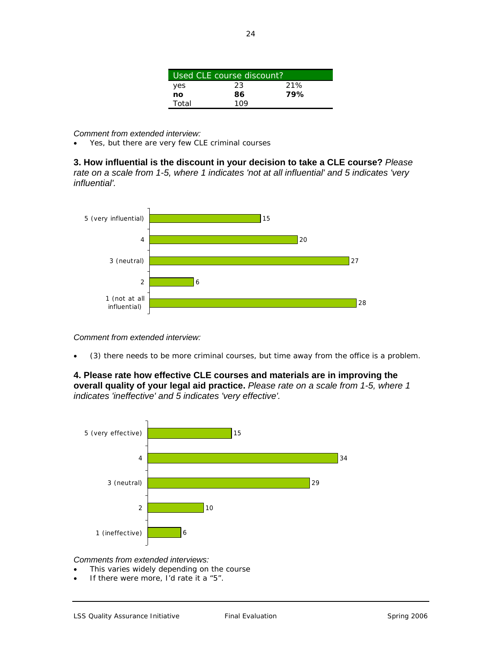| Used CLE course discount? |     |     |  |
|---------------------------|-----|-----|--|
| yes                       | 23  | 21% |  |
| no                        | 86  | 79% |  |
| Total                     | 109 |     |  |

#### *Comment from extended interview:*

• Yes, but there are very few CLE criminal courses

**3. How influential is the discount in your decision to take a CLE course?** *Please rate on a scale from 1-5, where 1 indicates 'not at all influential' and 5 indicates 'very influential'.*



*Comment from extended interview:*

• (3) there needs to be more criminal courses, but time away from the office is a problem.

**4. Please rate how effective CLE courses and materials are in improving the overall quality of your legal aid practice.** *Please rate on a scale from 1-5, where 1 indicates 'ineffective' and 5 indicates 'very effective'.*



#### *Comments from extended interviews:*

- This varies widely depending on the course
- If there were more, I'd rate it a "5".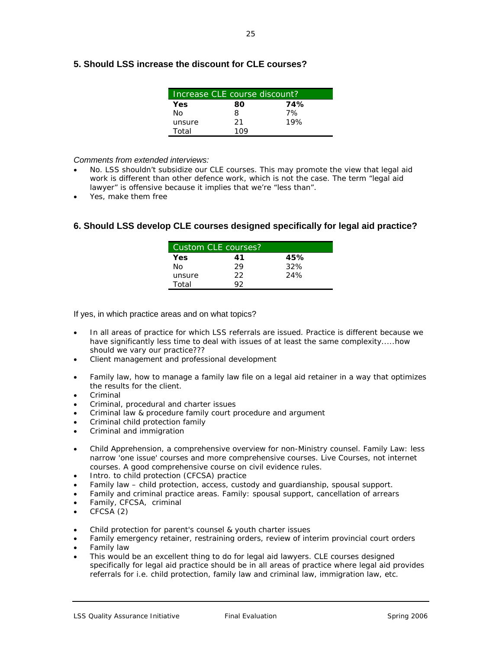|  |  |  |  |  |  |  |  | 5. Should LSS increase the discount for CLE courses? |  |
|--|--|--|--|--|--|--|--|------------------------------------------------------|--|
|--|--|--|--|--|--|--|--|------------------------------------------------------|--|

| Increase CLE course discount? |       |     |  |
|-------------------------------|-------|-----|--|
| Yes                           | 80    | 74% |  |
| Nο                            | R     | 7%  |  |
| unsure                        | 21    | 19% |  |
| Total                         | 1 N Q |     |  |

#### *Comments from extended interviews:*

- No. LSS shouldn't subsidize our CLE courses. This may promote the view that legal aid work is different than other defence work, which is not the case. The term "legal aid lawyer" is offensive because it implies that we're "less than".
- Yes, make them free

#### **6. Should LSS develop CLE courses designed specifically for legal aid practice?**

| Custom CLE courses? |     |     |  |  |  |
|---------------------|-----|-----|--|--|--|
| Yes                 | 41  | 45% |  |  |  |
| Nο                  | 29  | 32% |  |  |  |
| unsure              | 22. | 24% |  |  |  |
| Total               |     |     |  |  |  |

If yes, in which practice areas and on what topics?

- In all areas of practice for which LSS referrals are issued. Practice is different because we have significantly less time to deal with issues of at least the same complexity.....how should we vary our practice???
- Client management and professional development
- Family law, how to manage a family law file on a legal aid retainer in a way that optimizes the results for the client.
- Criminal
- Criminal, procedural and charter issues
- Criminal law & procedure family court procedure and argument
- Criminal child protection family
- Criminal and immigration
- Child Apprehension, a comprehensive overview for non-Ministry counsel. Family Law: less narrow 'one issue' courses and more comprehensive courses. Live Courses, not internet courses. A good comprehensive course on civil evidence rules.
- Intro. to child protection (CFCSA) practice
- Family law child protection, access, custody and guardianship, spousal support.
- Family and criminal practice areas. Family: spousal support, cancellation of arrears
- Family, CFCSA, criminal
- CFCSA (2)
- Child protection for parent's counsel & youth charter issues
- Family emergency retainer, restraining orders, review of interim provincial court orders
- Family law
- This would be an excellent thing to do for legal aid lawyers. CLE courses designed specifically for legal aid practice should be in all areas of practice where legal aid provides referrals for i.e. child protection, family law and criminal law, immigration law, etc.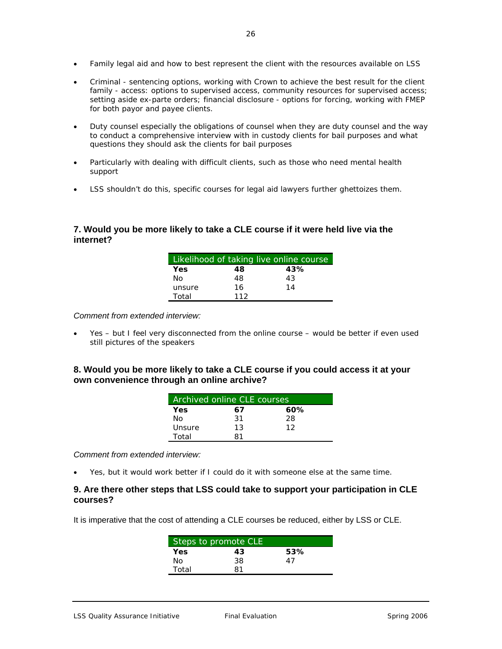- Family legal aid and how to best represent the client with the resources available on LSS
- Criminal sentencing options, working with Crown to achieve the best result for the client family - access: options to supervised access, community resources for supervised access; setting aside ex-parte orders; financial disclosure - options for forcing, working with FMEP for both payor and payee clients.
- Duty counsel especially the obligations of counsel when they are duty counsel and the way to conduct a comprehensive interview with in custody clients for bail purposes and what questions they should ask the clients for bail purposes
- Particularly with dealing with difficult clients, such as those who need mental health support
- LSS shouldn't do this, specific courses for legal aid lawyers further ghettoizes them.

#### **7. Would you be more likely to take a CLE course if it were held live via the internet?**

| Likelihood of taking live online course |     |     |  |
|-----------------------------------------|-----|-----|--|
| Yes                                     | 48  | 43% |  |
| Nο                                      | 48  | 43  |  |
| unsure                                  | 16  | 14  |  |
| Total                                   | 112 |     |  |

*Comment from extended interview:*

• Yes – but I feel very disconnected from the online course – would be better if even used still pictures of the speakers

#### **8. Would you be more likely to take a CLE course if you could access it at your own convenience through an online archive?**

| Archived online CLE courses |    |     |  |
|-----------------------------|----|-----|--|
| Yes                         | 67 | 60% |  |
| Nο                          | 31 | 28  |  |
| Unsure                      | 13 | 12  |  |
| Total                       | 81 |     |  |

*Comment from extended interview:*

• Yes, but it would work better if I could do it with someone else at the same time.

#### **9. Are there other steps that LSS could take to support your participation in CLE courses?**

It is imperative that the cost of attending a CLE courses be reduced, either by LSS or CLE.

| Steps to promote CLE |    |     |  |  |
|----------------------|----|-----|--|--|
| Yes                  | 43 | 53% |  |  |
| Nο                   | 38 | 47  |  |  |
| Total                | 81 |     |  |  |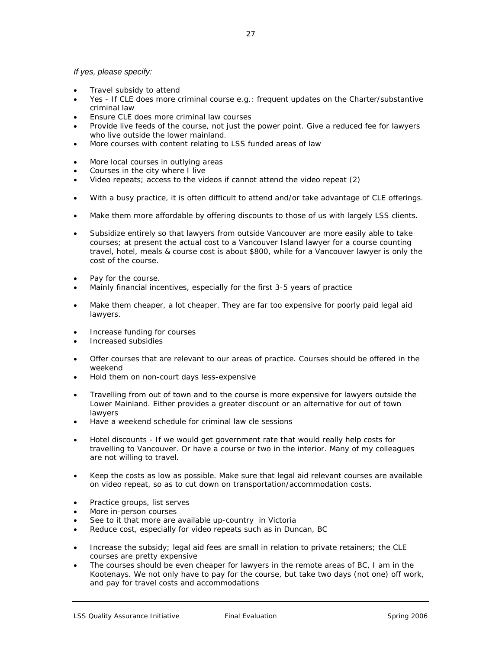#### *If yes, please specify:*

- Travel subsidy to attend
- Yes If CLE does more criminal course e.g.: frequent updates on the Charter/substantive criminal law
- Ensure CLE does more criminal law courses
- Provide live feeds of the course, not just the power point. Give a reduced fee for lawyers who live outside the lower mainland.
- More courses with content relating to LSS funded areas of law
- More local courses in outlying areas
- Courses in the city where I live
- Video repeats; access to the videos if cannot attend the video repeat (2)
- With a busy practice, it is often difficult to attend and/or take advantage of CLE offerings.
- Make them more affordable by offering discounts to those of us with largely LSS clients.
- Subsidize entirely so that lawyers from outside Vancouver are more easily able to take courses; at present the actual cost to a Vancouver Island lawyer for a course counting travel, hotel, meals & course cost is about \$800, while for a Vancouver lawyer is only the cost of the course.
- Pay for the course.
- Mainly financial incentives, especially for the first 3-5 years of practice
- Make them cheaper, a lot cheaper. They are far too expensive for poorly paid legal aid lawyers.
- Increase funding for courses
- Increased subsidies
- Offer courses that are relevant to our areas of practice. Courses should be offered in the weekend
- Hold them on non-court days less-expensive
- Travelling from out of town and to the course is more expensive for lawyers outside the Lower Mainland. Either provides a greater discount or an alternative for out of town lawyers
- Have a weekend schedule for criminal law cle sessions
- Hotel discounts If we would get government rate that would really help costs for travelling to Vancouver. Or have a course or two in the interior. Many of my colleagues are not willing to travel.
- Keep the costs as low as possible. Make sure that legal aid relevant courses are available on video repeat, so as to cut down on transportation/accommodation costs.
- Practice groups, list serves
- More in-person courses
- See to it that more are available up-country in Victoria
- Reduce cost, especially for video repeats such as in Duncan, BC
- Increase the subsidy; legal aid fees are small in relation to private retainers; the CLE courses are pretty expensive
- The courses should be even cheaper for lawyers in the remote areas of BC, I am in the Kootenays. We not only have to pay for the course, but take two days (not one) off work, and pay for travel costs and accommodations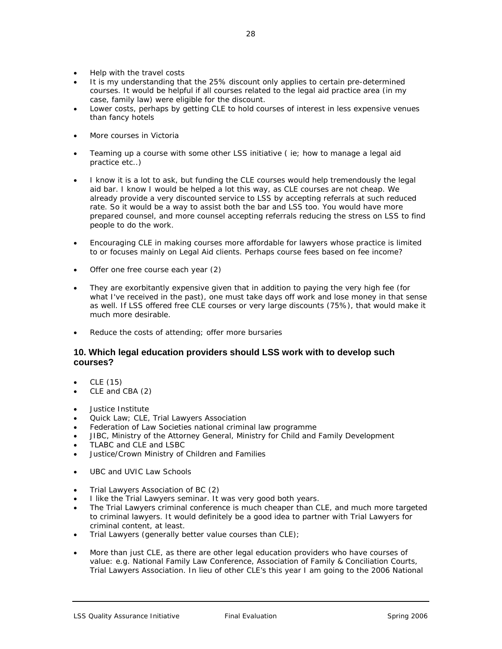- Help with the travel costs
- It is my understanding that the 25% discount only applies to certain pre-determined courses. It would be helpful if all courses related to the legal aid practice area (in my case, family law) were eligible for the discount.
- Lower costs, perhaps by getting CLE to hold courses of interest in less expensive venues than fancy hotels
- More courses in Victoria
- Teaming up a course with some other LSS initiative ( ie; how to manage a legal aid practice etc..)
- I know it is a lot to ask, but funding the CLE courses would help tremendously the legal aid bar. I know I would be helped a lot this way, as CLE courses are not cheap. We already provide a very discounted service to LSS by accepting referrals at such reduced rate. So it would be a way to assist both the bar and LSS too. You would have more prepared counsel, and more counsel accepting referrals reducing the stress on LSS to find people to do the work.
- Encouraging CLE in making courses more affordable for lawyers whose practice is limited to or focuses mainly on Legal Aid clients. Perhaps course fees based on fee income?
- Offer one free course each year (2)
- They are exorbitantly expensive given that in addition to paying the very high fee (for what I've received in the past), one must take days off work and lose money in that sense as well. If LSS offered free CLE courses or very large discounts (75%), that would make it much more desirable.
- Reduce the costs of attending; offer more bursaries

#### **10. Which legal education providers should LSS work with to develop such courses?**

- CLE (15)
- CLE and CBA (2)
- Justice Institute
- Quick Law; CLE, Trial Lawyers Association
- Federation of Law Societies national criminal law programme
- JIBC, Ministry of the Attorney General, Ministry for Child and Family Development
- TLABC and CLE and LSBC
- Justice/Crown Ministry of Children and Families
- UBC and UVIC Law Schools
- Trial Lawyers Association of BC (2)
- I like the Trial Lawyers seminar. It was very good both years.
- The Trial Lawyers criminal conference is much cheaper than CLE, and much more targeted to criminal lawyers. It would definitely be a good idea to partner with Trial Lawyers for criminal content, at least.
- Trial Lawyers (generally better value courses than CLE);
- More than just CLE, as there are other legal education providers who have courses of value: e.g. National Family Law Conference, Association of Family & Conciliation Courts, Trial Lawyers Association. In lieu of other CLE's this year I am going to the 2006 National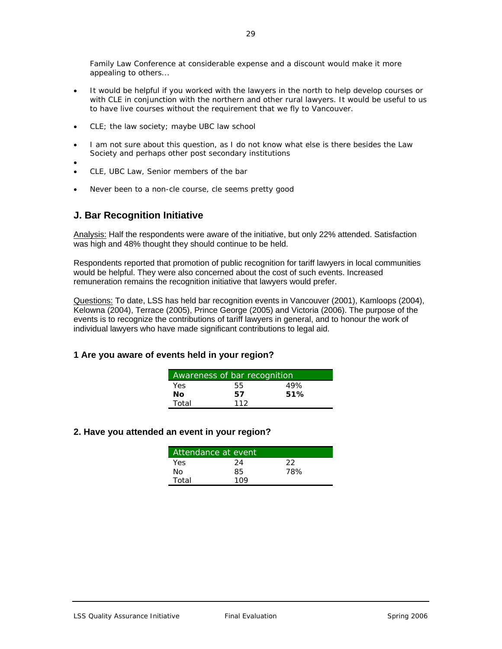Family Law Conference at considerable expense and a discount would make it more appealing to others...

- It would be helpful if you worked with the lawyers in the north to help develop courses or with CLE in conjunction with the northern and other rural lawyers. It would be useful to us to have live courses without the requirement that we fly to Vancouver.
- CLE; the law society; maybe UBC law school
- I am not sure about this question, as I do not know what else is there besides the Law Society and perhaps other post secondary institutions
- •
- CLE, UBC Law, Senior members of the bar
- Never been to a non-cle course, cle seems pretty good

#### **J. Bar Recognition Initiative**

Analysis: Half the respondents were aware of the initiative, but only 22% attended. Satisfaction was high and 48% thought they should continue to be held.

Respondents reported that promotion of public recognition for tariff lawyers in local communities would be helpful. They were also concerned about the cost of such events. Increased remuneration remains the recognition initiative that lawyers would prefer.

Questions: To date, LSS has held bar recognition events in Vancouver (2001), Kamloops (2004), Kelowna (2004), Terrace (2005), Prince George (2005) and Victoria (2006). The purpose of the events is to recognize the contributions of tariff lawyers in general, and to honour the work of individual lawyers who have made significant contributions to legal aid.

#### **1 Are you aware of events held in your region?**

| Awareness of bar recognition |     |     |  |
|------------------------------|-----|-----|--|
| Yes                          | 55  | 49% |  |
| Nο                           | 57  | 51% |  |
| Total                        | 112 |     |  |

#### **2. Have you attended an event in your region?**

|       | Attendance at event |     |  |
|-------|---------------------|-----|--|
| Yes.  | 24                  | 22  |  |
| Nο    | 85                  | 78% |  |
| Total | 109                 |     |  |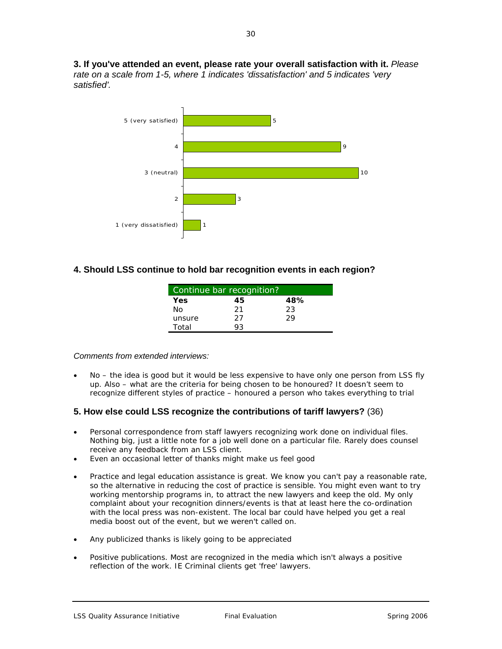**3. If you've attended an event, please rate your overall satisfaction with it.** *Please rate on a scale from 1-5, where 1 indicates 'dissatisfaction' and 5 indicates 'very satisfied'.*



#### **4. Should LSS continue to hold bar recognition events in each region?**

| Continue bar recognition? |    |     |  |
|---------------------------|----|-----|--|
| Yes                       | 45 | 48% |  |
| Nο                        | 21 | 23  |  |
| unsure                    | 27 | つり  |  |
| Total                     | 93 |     |  |

#### *Comments from extended interviews:*

No – the idea is good but it would be less expensive to have only one person from LSS fly up. Also – what are the criteria for being chosen to be honoured? It doesn't seem to recognize different styles of practice – honoured a person who takes everything to trial

#### **5. How else could LSS recognize the contributions of tariff lawyers?** (36)

- Personal correspondence from staff lawyers recognizing work done on individual files. Nothing big, just a little note for a job well done on a particular file. Rarely does counsel receive any feedback from an LSS client.
- Even an occasional letter of thanks might make us feel good
- Practice and legal education assistance is great. We know you can't pay a reasonable rate, so the alternative in reducing the cost of practice is sensible. You might even want to try working mentorship programs in, to attract the new lawyers and keep the old. My only complaint about your recognition dinners/events is that at least here the co-ordination with the local press was non-existent. The local bar could have helped you get a real media boost out of the event, but we weren't called on.
- Any publicized thanks is likely going to be appreciated
- Positive publications. Most are recognized in the media which isn't always a positive reflection of the work. IE Criminal clients get 'free' lawyers.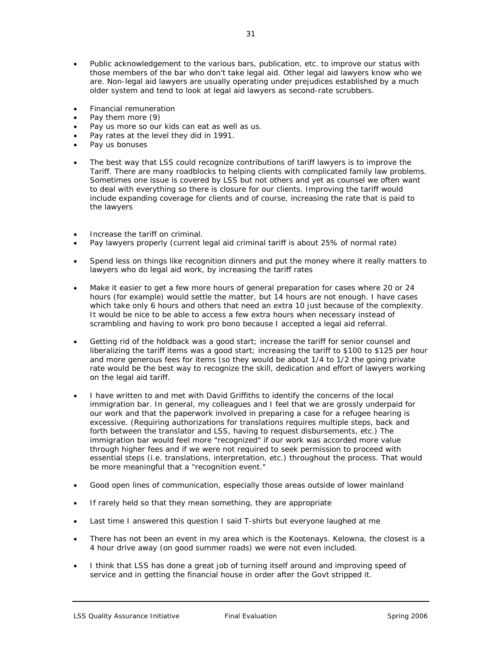- Public acknowledgement to the various bars, publication, etc. to improve our status with those members of the bar who don't take legal aid. Other legal aid lawyers know who we are. Non-legal aid lawyers are usually operating under prejudices established by a much older system and tend to look at legal aid lawyers as second-rate scrubbers.
- Financial remuneration
- Pay them more (9)
- Pay us more so our kids can eat as well as us.
- Pay rates at the level they did in 1991.
- Pay us bonuses
- The best way that LSS could recognize contributions of tariff lawyers is to improve the Tariff. There are many roadblocks to helping clients with complicated family law problems. Sometimes one issue is covered by LSS but not others and yet as counsel we often want to deal with everything so there is closure for our clients. Improving the tariff would include expanding coverage for clients and of course, increasing the rate that is paid to the lawyers
- Increase the tariff on criminal.
- Pay lawyers properly (current legal aid criminal tariff is about 25% of normal rate)
- Spend less on things like recognition dinners and put the money where it really matters to lawyers who do legal aid work, by increasing the tariff rates
- Make it easier to get a few more hours of general preparation for cases where 20 or 24 hours (for example) would settle the matter, but 14 hours are not enough. I have cases which take only 6 hours and others that need an extra 10 just because of the complexity. It would be nice to be able to access a few extra hours when necessary instead of scrambling and having to work pro bono because I accepted a legal aid referral.
- Getting rid of the holdback was a good start; increase the tariff for senior counsel and liberalizing the tariff items was a good start; increasing the tariff to \$100 to \$125 per hour and more generous fees for items (so they would be about 1/4 to 1/2 the going private rate would be the best way to recognize the skill, dedication and effort of lawyers working on the legal aid tariff.
- I have written to and met with David Griffiths to identify the concerns of the local immigration bar. In general, my colleagues and I feel that we are grossly underpaid for our work and that the paperwork involved in preparing a case for a refugee hearing is excessive. (Requiring authorizations for translations requires multiple steps, back and forth between the translator and LSS, having to request disbursements, etc.) The immigration bar would feel more "recognized" if our work was accorded more value through higher fees and if we were not required to seek permission to proceed with essential steps (i.e. translations, interpretation, etc.) throughout the process. That would be more meaningful that a "recognition event."
- Good open lines of communication, especially those areas outside of lower mainland
- If rarely held so that they mean something, they are appropriate
- Last time I answered this question I said T-shirts but everyone laughed at me
- There has not been an event in my area which is the Kootenays. Kelowna, the closest is a 4 hour drive away (on good summer roads) we were not even included.
- I think that LSS has done a great job of turning itself around and improving speed of service and in getting the financial house in order after the Govt stripped it.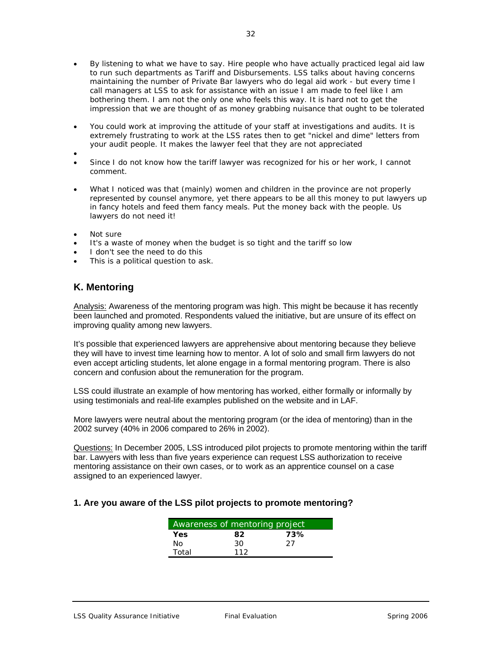- You could work at improving the attitude of your staff at investigations and audits. It is extremely frustrating to work at the LSS rates then to get "nickel and dime" letters from your audit people. It makes the lawyer feel that they are not appreciated
- •
- Since I do not know how the tariff lawyer was recognized for his or her work, I cannot comment.
- What I noticed was that (mainly) women and children in the province are not properly represented by counsel anymore, yet there appears to be all this money to put lawyers up in fancy hotels and feed them fancy meals. Put the money back with the people. Us lawyers do not need it!
- Not sure
- It's a waste of money when the budget is so tight and the tariff so low
- I don't see the need to do this
- This is a political question to ask.

## **K. Mentoring**

Analysis: Awareness of the mentoring program was high. This might be because it has recently been launched and promoted. Respondents valued the initiative, but are unsure of its effect on improving quality among new lawyers.

It's possible that experienced lawyers are apprehensive about mentoring because they believe they will have to invest time learning how to mentor. A lot of solo and small firm lawyers do not even accept articling students, let alone engage in a formal mentoring program. There is also concern and confusion about the remuneration for the program.

LSS could illustrate an example of how mentoring has worked, either formally or informally by using testimonials and real-life examples published on the website and in LAF.

More lawyers were neutral about the mentoring program (or the idea of mentoring) than in the 2002 survey (40% in 2006 compared to 26% in 2002).

Questions: In December 2005, LSS introduced pilot projects to promote mentoring within the tariff bar. Lawyers with less than five years experience can request LSS authorization to receive mentoring assistance on their own cases, or to work as an apprentice counsel on a case assigned to an experienced lawyer.

#### **1. Are you aware of the LSS pilot projects to promote mentoring?**

| Awareness of mentoring project |     |     |  |
|--------------------------------|-----|-----|--|
| Yes                            | 82  | 73% |  |
| Nο                             | 30  | 27  |  |
| Total                          | 112 |     |  |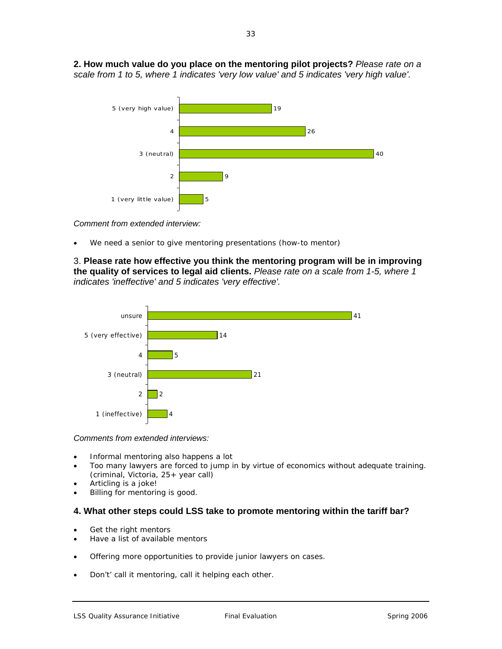**2. How much value do you place on the mentoring pilot projects?** *Please rate on a scale from 1 to 5, where 1 indicates 'very low value' and 5 indicates 'very high value'.*



#### *Comment from extended interview:*

We need a senior to give mentoring presentations (how-to mentor)

3. **Please rate how effective you think the mentoring program will be in improving the quality of services to legal aid clients.** *Please rate on a scale from 1-5, where 1 indicates 'ineffective' and 5 indicates 'very effective'.* 



#### *Comments from extended interviews:*

- Informal mentoring also happens a lot
- Too many lawyers are forced to jump in by virtue of economics without adequate training. (criminal, Victoria, 25+ year call)
- Articling is a joke!
- Billing for mentoring is good.

#### **4. What other steps could LSS take to promote mentoring within the tariff bar?**

- Get the right mentors
- Have a list of available mentors
- Offering more opportunities to provide junior lawyers on cases.
- Don't' call it mentoring, call it helping each other.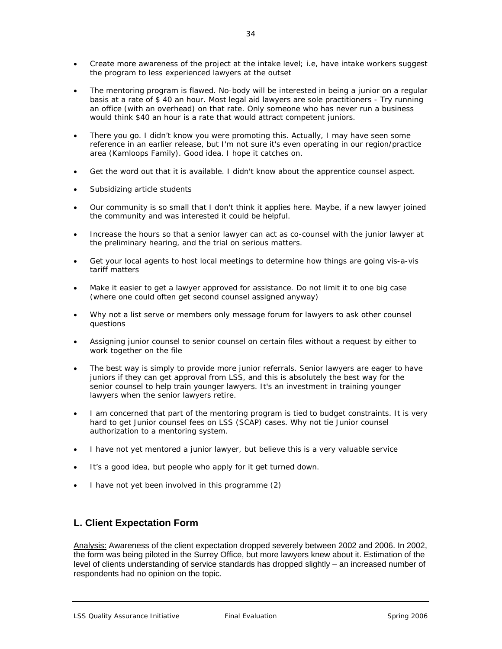- Create more awareness of the project at the intake level; i.e, have intake workers suggest the program to less experienced lawyers at the outset
- The mentoring program is flawed. No-body will be interested in being a junior on a regular basis at a rate of \$ 40 an hour. Most legal aid lawyers are sole practitioners - Try running an office (with an overhead) on that rate. Only someone who has never run a business would think \$40 an hour is a rate that would attract competent juniors.
- There you go. I didn't know you were promoting this. Actually, I may have seen some reference in an earlier release, but I'm not sure it's even operating in our region/practice area (Kamloops Family). Good idea. I hope it catches on.
- Get the word out that it is available. I didn't know about the apprentice counsel aspect.
- Subsidizing article students
- Our community is so small that I don't think it applies here. Maybe, if a new lawyer joined the community and was interested it could be helpful.
- Increase the hours so that a senior lawyer can act as co-counsel with the junior lawyer at the preliminary hearing, and the trial on serious matters.
- Get your local agents to host local meetings to determine how things are going vis-a-vis tariff matters
- Make it easier to get a lawyer approved for assistance. Do not limit it to one big case (where one could often get second counsel assigned anyway)
- Why not a list serve or members only message forum for lawyers to ask other counsel questions
- Assigning junior counsel to senior counsel on certain files without a request by either to work together on the file
- The best way is simply to provide more junior referrals. Senior lawyers are eager to have juniors if they can get approval from LSS, and this is absolutely the best way for the senior counsel to help train younger lawyers. It's an investment in training younger lawyers when the senior lawyers retire.
- I am concerned that part of the mentoring program is tied to budget constraints. It is very hard to get Junior counsel fees on LSS (SCAP) cases. Why not tie Junior counsel authorization to a mentoring system.
- I have not yet mentored a junior lawyer, but believe this is a very valuable service
- It's a good idea, but people who apply for it get turned down.
- I have not yet been involved in this programme (2)

#### **L. Client Expectation Form**

Analysis: Awareness of the client expectation dropped severely between 2002 and 2006. In 2002, the form was being piloted in the Surrey Office, but more lawyers knew about it. Estimation of the level of clients understanding of service standards has dropped slightly – an increased number of respondents had no opinion on the topic.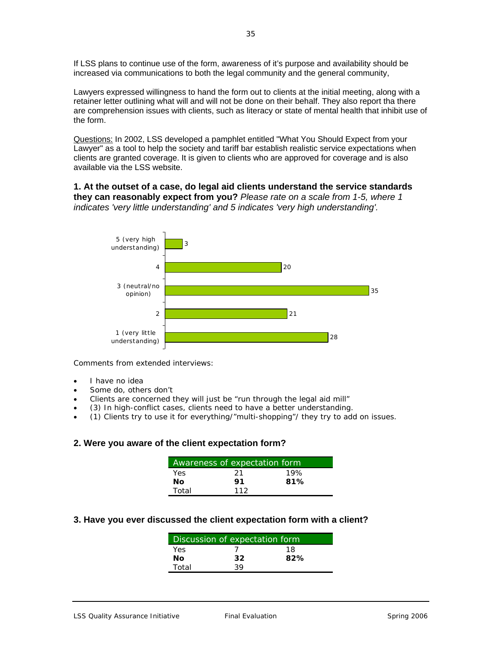If LSS plans to continue use of the form, awareness of it's purpose and availability should be increased via communications to both the legal community and the general community,

Lawyers expressed willingness to hand the form out to clients at the initial meeting, along with a retainer letter outlining what will and will not be done on their behalf. They also report tha there are comprehension issues with clients, such as literacy or state of mental health that inhibit use of the form.

Questions: In 2002, LSS developed a pamphlet entitled "What You Should Expect from your Lawyer" as a tool to help the society and tariff bar establish realistic service expectations when clients are granted coverage. It is given to clients who are approved for coverage and is also available via the LSS website.

**1. At the outset of a case, do legal aid clients understand the service standards they can reasonably expect from you?** *Please rate on a scale from 1-5, where 1 indicates 'very little understanding' and 5 indicates 'very high understanding'.*



*Comments from extended interviews:*

- I have no idea
- Some do, others don't
- Clients are concerned they will just be "run through the legal aid mill"
- (3) In high-conflict cases, clients need to have a better understanding.
- (1) Clients try to use it for everything/"multi-shopping"/ they try to add on issues.

#### **2. Were you aware of the client expectation form?**

| Awareness of expectation form |     |     |  |
|-------------------------------|-----|-----|--|
| Yes                           | -21 | 19% |  |
| Nο                            | 91  | 81% |  |
| Total                         | 112 |     |  |

#### **3. Have you ever discussed the client expectation form with a client?**

| Discussion of expectation form |    |     |  |
|--------------------------------|----|-----|--|
| Yes                            |    | 18  |  |
| Nο                             | 32 | 82% |  |
| Total                          | 39 |     |  |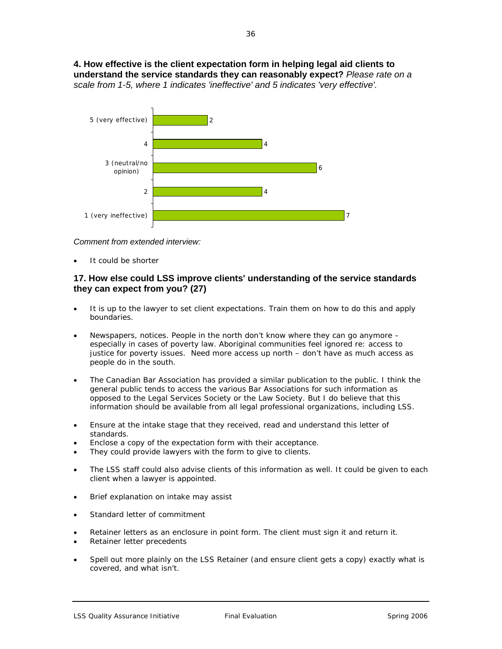**4. How effective is the client expectation form in helping legal aid clients to understand the service standards they can reasonably expect?** *Please rate on a scale from 1-5, where 1 indicates 'ineffective' and 5 indicates 'very effective'.*



#### *Comment from extended interview:*

It could be shorter

#### **17. How else could LSS improve clients' understanding of the service standards they can expect from you? (27)**

- It is up to the lawyer to set client expectations. Train them on how to do this and apply boundaries.
- Newspapers, notices. People in the north don't know where they can go anymore especially in cases of poverty law. Aboriginal communities feel ignored re: access to justice for poverty issues. Need more access up north – don't have as much access as people do in the south.
- The Canadian Bar Association has provided a similar publication to the public. I think the general public tends to access the various Bar Associations for such information as opposed to the Legal Services Society or the Law Society. But I do believe that this information should be available from all legal professional organizations, including LSS.
- Ensure at the intake stage that they received, read and understand this letter of standards.
- Enclose a copy of the expectation form with their acceptance.
- They could provide lawyers with the form to give to clients.
- The LSS staff could also advise clients of this information as well. It could be given to each client when a lawyer is appointed.
- Brief explanation on intake may assist
- Standard letter of commitment
- Retainer letters as an enclosure in point form. The client must sign it and return it.
- Retainer letter precedents
- Spell out more plainly on the LSS Retainer (and ensure client gets a copy) exactly what is covered, and what isn't.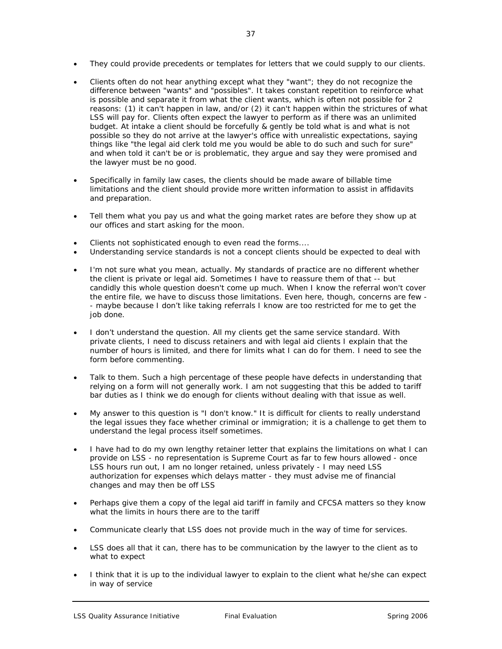- They could provide precedents or templates for letters that we could supply to our clients.
- Clients often do not hear anything except what they "want"; they do not recognize the difference between "wants" and "possibles". It takes constant repetition to reinforce what is possible and separate it from what the client wants, which is often not possible for 2 reasons: (1) it can't happen in law, and/or (2) it can't happen within the strictures of what LSS will pay for. Clients often expect the lawyer to perform as if there was an unlimited budget. At intake a client should be forcefully & gently be told what is and what is not possible so they do not arrive at the lawyer's office with unrealistic expectations, saying things like "the legal aid clerk told me you would be able to do such and such for sure" and when told it can't be or is problematic, they argue and say they were promised and the lawyer must be no good.
- Specifically in family law cases, the clients should be made aware of billable time limitations and the client should provide more written information to assist in affidavits and preparation.
- Tell them what you pay us and what the going market rates are before they show up at our offices and start asking for the moon.
- Clients not sophisticated enough to even read the forms....
- Understanding service standards is not a concept clients should be expected to deal with
- I'm not sure what you mean, actually. My standards of practice are no different whether the client is private or legal aid. Sometimes I have to reassure them of that -- but candidly this whole question doesn't come up much. When I know the referral won't cover the entire file, we have to discuss those limitations. Even here, though, concerns are few - - maybe because I don't like taking referrals I know are too restricted for me to get the job done.
- I don't understand the question. All my clients get the same service standard. With private clients, I need to discuss retainers and with legal aid clients I explain that the number of hours is limited, and there for limits what I can do for them. I need to see the form before commenting.
- Talk to them. Such a high percentage of these people have defects in understanding that relying on a form will not generally work. I am not suggesting that this be added to tariff bar duties as I think we do enough for clients without dealing with that issue as well.
- My answer to this question is "I don't know." It is difficult for clients to really understand the legal issues they face whether criminal or immigration; it is a challenge to get them to understand the legal process itself sometimes.
- I have had to do my own lengthy retainer letter that explains the limitations on what I can provide on LSS - no representation is Supreme Court as far to few hours allowed - once LSS hours run out, I am no longer retained, unless privately - I may need LSS authorization for expenses which delays matter - they must advise me of financial changes and may then be off LSS
- Perhaps give them a copy of the legal aid tariff in family and CFCSA matters so they know what the limits in hours there are to the tariff
- Communicate clearly that LSS does not provide much in the way of time for services.
- LSS does all that it can, there has to be communication by the lawyer to the client as to what to expect
- I think that it is up to the individual lawyer to explain to the client what he/she can expect in way of service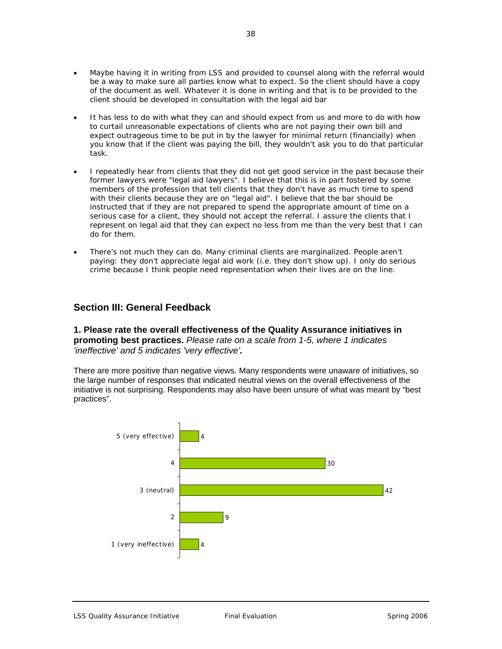- Maybe having it in writing from LSS and provided to counsel along with the referral would be a way to make sure all parties know what to expect. So the client should have a copy of the document as well. Whatever it is done in writing and that is to be provided to the client should be developed in consultation with the legal aid bar
- It has less to do with what they can and should expect from us and more to do with how to curtail unreasonable expectations of clients who are not paying their own bill and expect outrageous time to be put in by the lawyer for minimal return (financially) when you know that if the client was paying the bill, they wouldn't ask you to do that particular task.
- I repeatedly hear from clients that they did not get good service in the past because their former lawyers were "legal aid lawyers". I believe that this is in part fostered by some members of the profession that tell clients that they don't have as much time to spend with their clients because they are on "legal aid". I believe that the bar should be instructed that if they are not prepared to spend the appropriate amount of time on a serious case for a client, they should not accept the referral. I assure the clients that I represent on legal aid that they can expect no less from me than the very best that I can do for them.
- There's not much they can do. Many criminal clients are marginalized. People aren't paying: they don't appreciate legal aid work (i.e. they don't show up). I only do serious crime because I think people need representation when their lives are on the line.

## **Section III: General Feedback**

**1. Please rate the overall effectiveness of the Quality Assurance initiatives in promoting best practices.** *Please rate on a scale from 1-5, where 1 indicates 'ineffective' and 5 indicates 'very effective'.*

There are more positive than negative views. Many respondents were unaware of initiatives, so the large number of responses that indicated neutral views on the overall effectiveness of the initiative is not surprising. Respondents may also have been unsure of what was meant by "best practices".

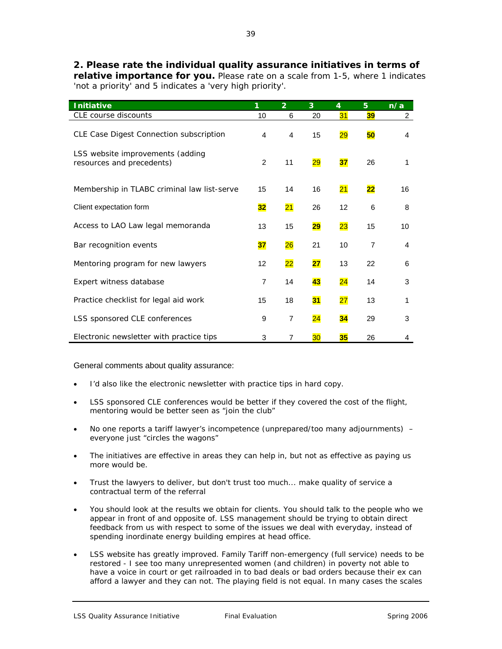## **2. Please rate the individual quality assurance initiatives in terms of**

**relative importance for you.** *Please rate on a scale from 1-5, where 1 indicates 'not a priority' and 5 indicates a 'very high priority'*.

| <b>Initiative</b>                                             | 1              | $\overline{2}$  | 3               | 4  | 5              | n/a |
|---------------------------------------------------------------|----------------|-----------------|-----------------|----|----------------|-----|
| CLE course discounts                                          | 10             | 6               | 20              | 31 | 39             | 2   |
| CLE Case Digest Connection subscription                       | 4              | 4               | 15              | 29 | 50             | 4   |
| LSS website improvements (adding<br>resources and precedents) | 2              | 11              | 29              | 37 | 26             | 1   |
| Membership in TLABC criminal law list-serve                   | 15             | 14              | 16              | 21 | 22             | 16  |
| Client expectation form                                       | 32             | 21              | 26              | 12 | 6              | 8   |
| Access to LAO Law legal memoranda                             | 13             | 15              | 29              | 23 | 15             | 10  |
| Bar recognition events                                        | 37             | 26              | 21              | 10 | $\overline{7}$ | 4   |
| Mentoring program for new lawyers                             | 12             | $\overline{22}$ | 27              | 13 | 22             | 6   |
| Expert witness database                                       | $\overline{7}$ | 14              | 43              | 24 | 14             | 3   |
| Practice checklist for legal aid work                         | 15             | 18              | 31              | 27 | 13             | 1   |
| LSS sponsored CLE conferences                                 | 9              | $\overline{7}$  | 24              | 34 | 29             | 3   |
| Electronic newsletter with practice tips                      | 3              | 7               | 30 <sub>o</sub> | 35 | 26             | 4   |

#### General comments about quality assurance:

- I'd also like the electronic newsletter with practice tips in hard copy.
- LSS sponsored CLE conferences would be better if they covered the cost of the flight, mentoring would be better seen as "join the club"
- No one reports a tariff lawyer's incompetence (unprepared/too many adjournments) everyone just "circles the wagons"
- The initiatives are effective in areas they can help in, but not as effective as paying us more would be.
- Trust the lawyers to deliver, but don't trust too much... make quality of service a contractual term of the referral
- You should look at the results we obtain for clients. You should talk to the people who we appear in front of and opposite of. LSS management should be trying to obtain direct feedback from us with respect to some of the issues we deal with everyday, instead of spending inordinate energy building empires at head office.
- LSS website has greatly improved. Family Tariff non-emergency (full service) needs to be restored - I see too many unrepresented women (and children) in poverty not able to have a voice in court or get railroaded in to bad deals or bad orders because their ex can afford a lawyer and they can not. The playing field is not equal. In many cases the scales